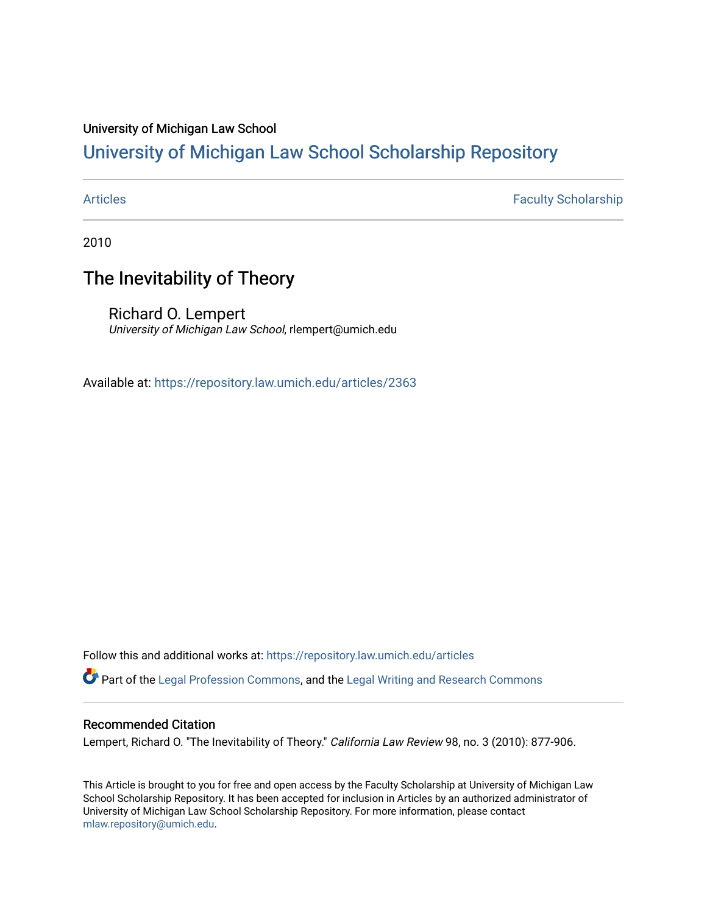### University of Michigan Law School

# [University of Michigan Law School Scholarship Repository](https://repository.law.umich.edu/)

[Articles](https://repository.law.umich.edu/articles) **Faculty Scholarship** 

2010

# The Inevitability of Theory

Richard O. Lempert University of Michigan Law School, rlempert@umich.edu

Available at: <https://repository.law.umich.edu/articles/2363>

Follow this and additional works at: [https://repository.law.umich.edu/articles](https://repository.law.umich.edu/articles?utm_source=repository.law.umich.edu%2Farticles%2F2363&utm_medium=PDF&utm_campaign=PDFCoverPages) 

Part of the [Legal Profession Commons](http://network.bepress.com/hgg/discipline/1075?utm_source=repository.law.umich.edu%2Farticles%2F2363&utm_medium=PDF&utm_campaign=PDFCoverPages), and the [Legal Writing and Research Commons](http://network.bepress.com/hgg/discipline/614?utm_source=repository.law.umich.edu%2Farticles%2F2363&utm_medium=PDF&utm_campaign=PDFCoverPages) 

### Recommended Citation

Lempert, Richard O. "The Inevitability of Theory." California Law Review 98, no. 3 (2010): 877-906.

This Article is brought to you for free and open access by the Faculty Scholarship at University of Michigan Law School Scholarship Repository. It has been accepted for inclusion in Articles by an authorized administrator of University of Michigan Law School Scholarship Repository. For more information, please contact [mlaw.repository@umich.edu.](mailto:mlaw.repository@umich.edu)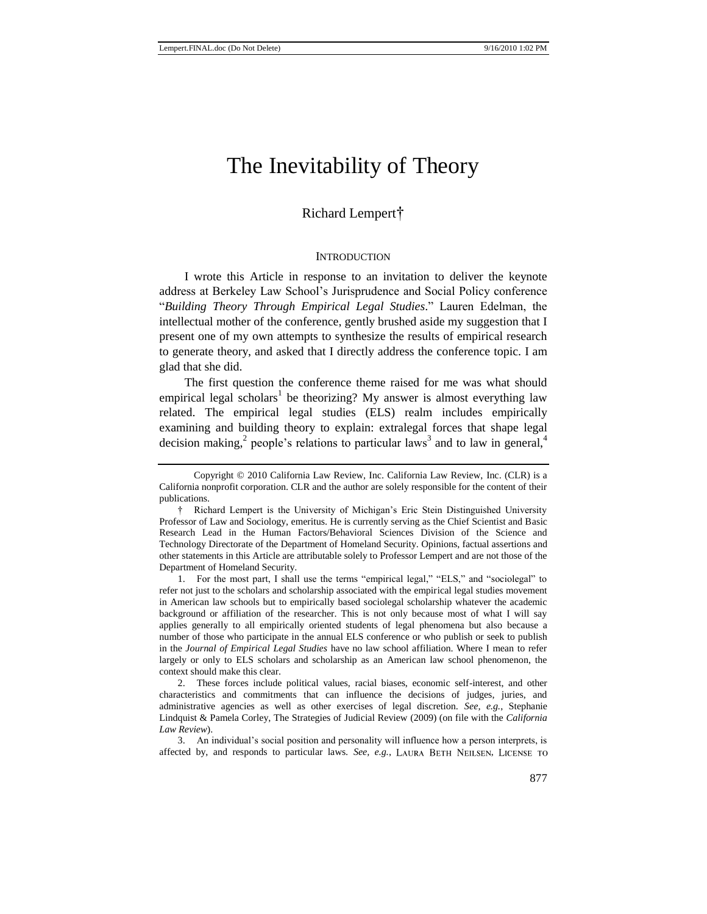# The Inevitability of Theory

### Richard Lempert†

#### **INTRODUCTION**

I wrote this Article in response to an invitation to deliver the keynote address at Berkeley Law School's Jurisprudence and Social Policy conference ―*Building Theory Through Empirical Legal Studies*.‖ Lauren Edelman, the intellectual mother of the conference, gently brushed aside my suggestion that I present one of my own attempts to synthesize the results of empirical research to generate theory, and asked that I directly address the conference topic. I am glad that she did.

<span id="page-1-0"></span>The first question the conference theme raised for me was what should empirical legal scholars<sup>1</sup> be theorizing? My answer is almost everything law related. The empirical legal studies (ELS) realm includes empirically examining and building theory to explain: extralegal forces that shape legal decision making,<sup>2</sup> people's relations to particular laws<sup>3</sup> and to law in general,<sup>4</sup>

1. For the most part, I shall use the terms "empirical legal," "ELS," and "sociolegal" to refer not just to the scholars and scholarship associated with the empirical legal studies movement in American law schools but to empirically based sociolegal scholarship whatever the academic background or affiliation of the researcher. This is not only because most of what I will say applies generally to all empirically oriented students of legal phenomena but also because a number of those who participate in the annual ELS conference or who publish or seek to publish in the *Journal of Empirical Legal Studies* have no law school affiliation. Where I mean to refer largely or only to ELS scholars and scholarship as an American law school phenomenon, the context should make this clear.

2. These forces include political values, racial biases, economic self-interest, and other characteristics and commitments that can influence the decisions of judges, juries, and administrative agencies as well as other exercises of legal discretion. *See, e.g.*, Stephanie Lindquist & Pamela Corley, The Strategies of Judicial Review (2009) (on file with the *California Law Review*).

3. An individual's social position and personality will influence how a person interprets, is affected by, and responds to particular laws. *See, e.g.*, LAURA BETH NEILSEN, LICENSE TO

Copyright © 2010 California Law Review, Inc. California Law Review, Inc. (CLR) is a California nonprofit corporation. CLR and the author are solely responsible for the content of their publications.

<sup>†</sup> Richard Lempert is the University of Michigan's Eric Stein Distinguished University Professor of Law and Sociology, emeritus. He is currently serving as the Chief Scientist and Basic Research Lead in the Human Factors/Behavioral Sciences Division of the Science and Technology Directorate of the Department of Homeland Security. Opinions, factual assertions and other statements in this Article are attributable solely to Professor Lempert and are not those of the Department of Homeland Security.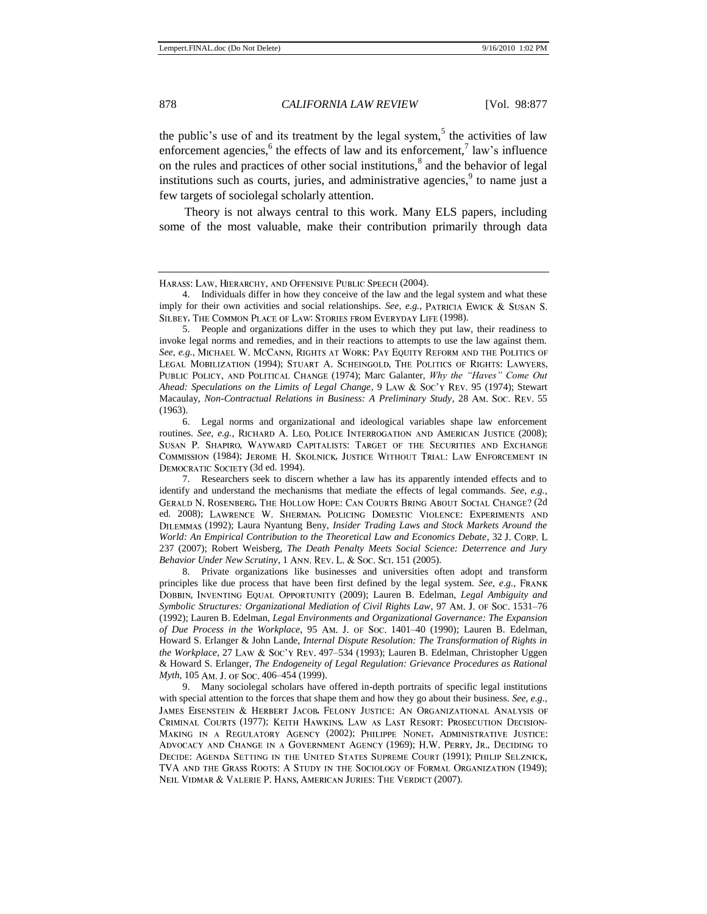<span id="page-2-0"></span>the public's use of and its treatment by the legal system,<sup>5</sup> the activities of law enforcement agencies,  $6$  the effects of law and its enforcement,  $7 \text{ law's influence}$ on the rules and practices of other social institutions,<sup>8</sup> and the behavior of legal institutions such as courts, juries, and administrative agencies,  $9$  to name just a few targets of sociolegal scholarly attention.

Theory is not always central to this work. Many ELS papers, including some of the most valuable, make their contribution primarily through data

5. People and organizations differ in the uses to which they put law, their readiness to invoke legal norms and remedies, and in their reactions to attempts to use the law against them. See, e.g., MICHAEL W. MCCANN, RIGHTS AT WORK: PAY EQUITY REFORM AND THE POLITICS OF LEGAL MOBILIZATION (1994); STUART A. SCHEINGOLD, THE POLITICS OF RIGHTS: LAWYERS, (1974); Marc Galanter, *Why the "Haves" Come Out Ahead: Speculations on the Limits of Legal Change*, 9 LAW & Soc'y REV. 95 (1974); Stewart Macaulay, *Non-Contractual Relations in Business: A Preliminary Study*, 28 AM. Soc. REV. 55 (1963).

Legal norms and organizational and ideological variables shape law enforcement routines. *See*, *e.g.*, RICHARD A. LEO, POLICE INTERROGATION AND AMERICAN JUSTICE (2008); SUSAN P. SHAPIRO, WAYWARD CAPITALISTS: TARGET OF THE SECURITIES AND EXCHANGE COMMISSION (1984); JEROME H. SKOLNICK, JUSTICE WITHOUT TRIAL: LAW ENFORCEMENT IN DEMOCRATIC SOCIETY (3d ed. 1994).

7. Researchers seek to discern whether a law has its apparently intended effects and to identify and understand the mechanisms that mediate the effects of legal commands. *See*, *e.g.*, GERALD N. ROSENBERG, THE HOLLOW HOPE: CAN COURTS BRING ABOUT SOCIAL CHANGE? (2d ed. 2008); LAWRENCE W. SHERMAN, POLICING DOMESTIC VIOLENCE: EXPERIMENTS AND (1992); Laura Nyantung Beny, *Insider Trading Laws and Stock Markets Around the World: An Empirical Contribution to the Theoretical Law and Economics Debate*, 32 237 (2007); Robert Weisberg, *The Death Penalty Meets Social Science: Deterrence and Jury Behavior Under New Scrutiny*, 1 ANN. REV. L. & Soc. Sct. 151 (2005).

8. Private organizations like businesses and universities often adopt and transform principles like due process that have been first defined by the legal system. *See, e.g.*, DOBBIN, INVENTING EQUAL OPPORTUNITY (2009); Lauren B. Edelman, *Legal Ambiguity and Symbolic Structures: Organizational Mediation of Civil Rights Law*, 97 AM. J. OF Soc. 1531–76 (1992); Lauren B. Edelman, *Legal Environments and Organizational Governance: The Expansion of Due Process in the Workplace*, 95 AM. J. OF Soc. 1401-40 (1990); Lauren B. Edelman, Howard S. Erlanger & John Lande, *Internal Dispute Resolution: The Transformation of Rights in the Workplace*, 27 LAW & Soc'y REV. 497–534 (1993); Lauren B. Edelman, Christopher Uggen & Howard S. Erlanger, *The Endogeneity of Legal Regulation: Grievance Procedures as Rational Myth*, 105 Am. J. OF Soc. 406–454 (1999).

9. Many sociolegal scholars have offered in-depth portraits of specific legal institutions with special attention to the forces that shape them and how they go about their business. *See*, *e.g.*, JAMES EISENSTEIN & HERBERT JACOB, FELONY JUSTICE: AN ORGANIZATIONAL ANALYSIS OF CRIMINAL COURTS (1977); KEITH HAWKINS, LAW AS LAST RESORT: PROSECUTION DECISION-MAKING IN A REGULATORY AGENCY (2002); PHILIPPE NONET, ADMINISTRATIVE JUSTICE: ADVOCACY AND CHANGE IN A GOVERNMENT AGENCY (1969); H.W. PERRY, JR., DECIDING TO DECIDE: AGENDA SETTING IN THE UNITED STATES SUPREME COURT (1991); PHILIP SELZNICK, TVA AND THE GRASS ROOTS: A STUDY IN THE SOCIOLOGY OF FORMAL ORGANIZATION (1949); NEIL VIDMAR & VALERIE P. HANS, AMERICAN JURIES: THE VERDICT (2007).

HARASS: LAW, HIERARCHY, AND OFFENSIVE PUBLIC SPEECH (2004).

<sup>4.</sup> Individuals differ in how they conceive of the law and the legal system and what these imply for their own activities and social relationships. *See*, *e.g.*, PATRICIA EWICK & SUSAN S. SILBEY, THE COMMON PLACE OF LAW: STORIES FROM EVERYDAY LIFE (1998).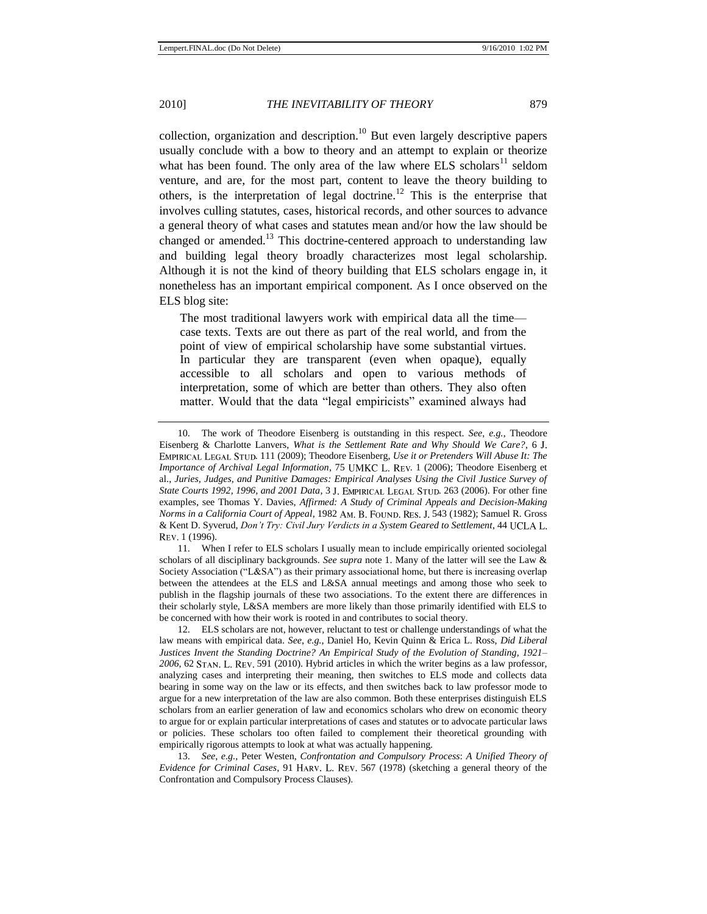<span id="page-3-0"></span>collection, organization and description.<sup>10</sup> But even largely descriptive papers usually conclude with a bow to theory and an attempt to explain or theorize what has been found. The only area of the law where ELS scholars<sup>11</sup> seldom venture, and are, for the most part, content to leave the theory building to others, is the interpretation of legal doctrine.<sup>12</sup> This is the enterprise that involves culling statutes, cases, historical records, and other sources to advance a general theory of what cases and statutes mean and/or how the law should be changed or amended.<sup>13</sup> This doctrine-centered approach to understanding law and building legal theory broadly characterizes most legal scholarship. Although it is not the kind of theory building that ELS scholars engage in, it nonetheless has an important empirical component. As I once observed on the ELS blog site:

The most traditional lawyers work with empirical data all the time case texts. Texts are out there as part of the real world, and from the point of view of empirical scholarship have some substantial virtues. In particular they are transparent (even when opaque), equally accessible to all scholars and open to various methods of interpretation, some of which are better than others. They also often matter. Would that the data "legal empiricists" examined always had

11. When I refer to ELS scholars I usually mean to include empirically oriented sociolegal scholars of all disciplinary backgrounds. *See supra* note [1.](#page-1-0) Many of the latter will see the Law & Society Association ("L&SA") as their primary associational home, but there is increasing overlap between the attendees at the ELS and L&SA annual meetings and among those who seek to publish in the flagship journals of these two associations. To the extent there are differences in their scholarly style, L&SA members are more likely than those primarily identified with ELS to be concerned with how their work is rooted in and contributes to social theory.

12. ELS scholars are not, however, reluctant to test or challenge understandings of what the law means with empirical data. *See*, *e.g.*, Daniel Ho, Kevin Quinn & Erica L. Ross, *Did Liberal Justices Invent the Standing Doctrine? An Empirical Study of the Evolution of Standing, 1921–* 2006, 62 STAN. L. REV. 591 (2010). Hybrid articles in which the writer begins as a law professor, analyzing cases and interpreting their meaning, then switches to ELS mode and collects data bearing in some way on the law or its effects, and then switches back to law professor mode to argue for a new interpretation of the law are also common. Both these enterprises distinguish ELS scholars from an earlier generation of law and economics scholars who drew on economic theory to argue for or explain particular interpretations of cases and statutes or to advocate particular laws or policies. These scholars too often failed to complement their theoretical grounding with empirically rigorous attempts to look at what was actually happening.

13. *See*, *e.g.*, Peter Westen, *Confrontation and Compulsory Process*: *A Unified Theory of Evidence for Criminal Cases*, 91 HARV. L. REV. 567 (1978) (sketching a general theory of the Confrontation and Compulsory Process Clauses).

<sup>10.</sup> The work of Theodore Eisenberg is outstanding in this respect. *See*, *e.g.*, Theodore Eisenberg & Charlotte Lanvers, *What is the Settlement Rate and Why Should We Care?*, 6 . 111 (2009); Theodore Eisenberg, *Use it or Pretenders Will Abuse It: The Importance of Archival Legal Information*, 75 UMKC L. REV. 1 (2006); Theodore Eisenberg et al., *Juries, Judges, and Punitive Damages: Empirical Analyses Using the Civil Justice Survey of State Courts 1992, 1996, and 2001 Data, 3 J. EMPIRICAL LEGAL STUD. 263 (2006). For other fine* examples, see Thomas Y. Davies, *Affirmed: A Study of Criminal Appeals and Decision-Making Norms in a California Court of Appeal*, 1982 AM. B. FOUND. RES. J. 543 (1982); Samuel R. Gross & Kent D. Syverud, *Don't Try: Civil Jury Verdicts in a System Geared to Settlement*, 44 REV. 1 (1996).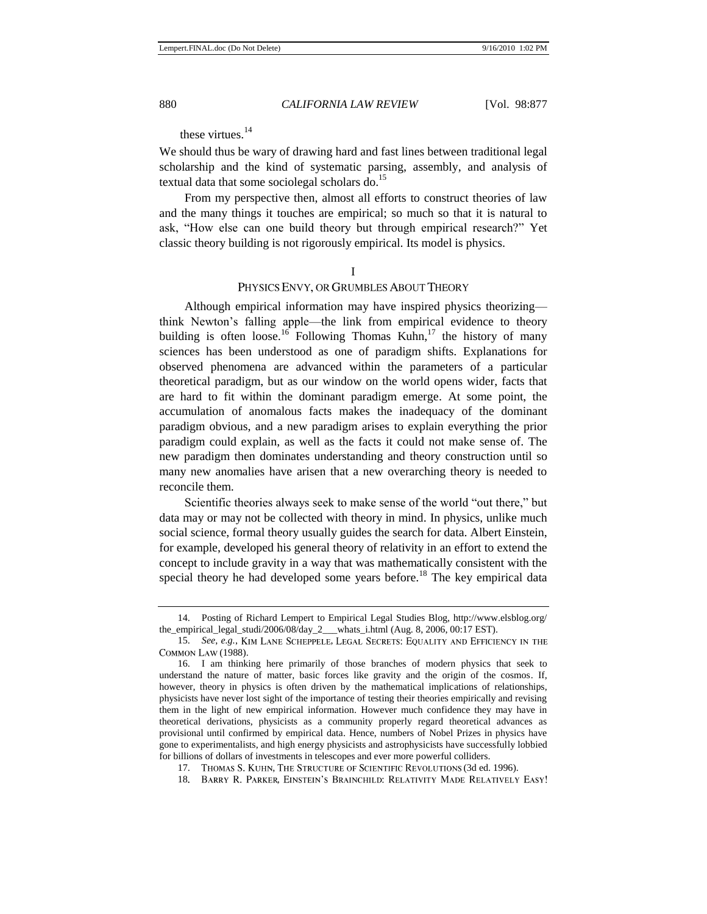<span id="page-4-0"></span>these virtues  $14$ 

We should thus be wary of drawing hard and fast lines between traditional legal scholarship and the kind of systematic parsing, assembly, and analysis of textual data that some sociolegal scholars do.<sup>15</sup>

From my perspective then, almost all efforts to construct theories of law and the many things it touches are empirical; so much so that it is natural to ask, "How else can one build theory but through empirical research?" Yet classic theory building is not rigorously empirical. Its model is physics.

I

#### PHYSICS ENVY, OR GRUMBLES ABOUT THEORY

Although empirical information may have inspired physics theorizing think Newton's falling apple—the link from empirical evidence to theory building is often loose.<sup>16</sup> Following Thomas Kuhn,<sup>17</sup> the history of many sciences has been understood as one of paradigm shifts. Explanations for observed phenomena are advanced within the parameters of a particular theoretical paradigm, but as our window on the world opens wider, facts that are hard to fit within the dominant paradigm emerge. At some point, the accumulation of anomalous facts makes the inadequacy of the dominant paradigm obvious, and a new paradigm arises to explain everything the prior paradigm could explain, as well as the facts it could not make sense of. The new paradigm then dominates understanding and theory construction until so many new anomalies have arisen that a new overarching theory is needed to reconcile them.

Scientific theories always seek to make sense of the world "out there," but data may or may not be collected with theory in mind. In physics, unlike much social science, formal theory usually guides the search for data. Albert Einstein, for example, developed his general theory of relativity in an effort to extend the concept to include gravity in a way that was mathematically consistent with the special theory he had developed some years before.<sup>18</sup> The key empirical data

<sup>14.</sup> Posting of Richard Lempert to Empirical Legal Studies Blog, http://www.elsblog.org/ the\_empirical\_legal\_studi/2006/08/day\_2\_\_\_whats\_i.html (Aug. 8, 2006, 00:17 EST).

<sup>15.</sup> See, e.g., KIM LANE SCHEPPELE, LEGAL SECRETS: EQUALITY AND EFFICIENCY IN THE COMMON LAW (1988).

<sup>16.</sup> I am thinking here primarily of those branches of modern physics that seek to understand the nature of matter, basic forces like gravity and the origin of the cosmos. If, however, theory in physics is often driven by the mathematical implications of relationships, physicists have never lost sight of the importance of testing their theories empirically and revising them in the light of new empirical information. However much confidence they may have in theoretical derivations, physicists as a community properly regard theoretical advances as provisional until confirmed by empirical data. Hence, numbers of Nobel Prizes in physics have gone to experimentalists, and high energy physicists and astrophysicists have successfully lobbied for billions of dollars of investments in telescopes and ever more powerful colliders.

<sup>17.</sup> THOMAS S. KUHN, THE STRUCTURE OF SCIENTIFIC REVOLUTIONS (3d ed. 1996).

<sup>18.</sup> BARRY R. PARKER, EINSTEIN'S BRAINCHILD: RELATIVITY MADE RELATIVELY EASY!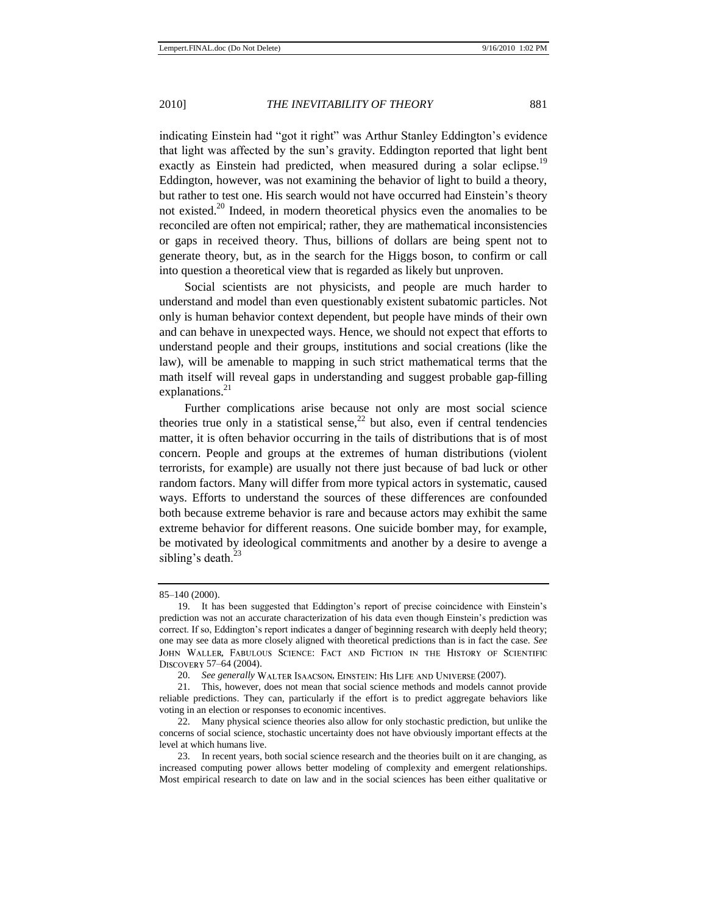indicating Einstein had "got it right" was Arthur Stanley Eddington's evidence that light was affected by the sun's gravity. Eddington reported that light bent exactly as Einstein had predicted, when measured during a solar eclipse.<sup>19</sup> Eddington, however, was not examining the behavior of light to build a theory, but rather to test one. His search would not have occurred had Einstein's theory not existed.<sup>20</sup> Indeed, in modern theoretical physics even the anomalies to be reconciled are often not empirical; rather, they are mathematical inconsistencies or gaps in received theory. Thus, billions of dollars are being spent not to generate theory, but, as in the search for the Higgs boson, to confirm or call into question a theoretical view that is regarded as likely but unproven.

Social scientists are not physicists, and people are much harder to understand and model than even questionably existent subatomic particles. Not only is human behavior context dependent, but people have minds of their own and can behave in unexpected ways. Hence, we should not expect that efforts to understand people and their groups, institutions and social creations (like the law), will be amenable to mapping in such strict mathematical terms that the math itself will reveal gaps in understanding and suggest probable gap-filling explanations. $21$ 

Further complications arise because not only are most social science theories true only in a statistical sense,  $2^2$  but also, even if central tendencies matter, it is often behavior occurring in the tails of distributions that is of most concern. People and groups at the extremes of human distributions (violent terrorists, for example) are usually not there just because of bad luck or other random factors. Many will differ from more typical actors in systematic, caused ways. Efforts to understand the sources of these differences are confounded both because extreme behavior is rare and because actors may exhibit the same extreme behavior for different reasons. One suicide bomber may, for example, be motivated by ideological commitments and another by a desire to avenge a sibling's death. $^{23}$ 

<sup>85–140</sup> (2000).

<sup>19.</sup> It has been suggested that Eddington's report of precise coincidence with Einstein's prediction was not an accurate characterization of his data even though Einstein's prediction was correct. If so, Eddington's report indicates a danger of beginning research with deeply held theory; one may see data as more closely aligned with theoretical predictions than is in fact the case. *See*  JOHN WALLER, FABULOUS SCIENCE: FACT AND FICTION IN THE HISTORY OF SCIENTIFIC DISCOVERY 57-64 (2004).

<sup>20.</sup> *See generally* WALTER ISAACSON, EINSTEIN: HIS LIFE AND UNIVERSE (2007).

<sup>21.</sup> This, however, does not mean that social science methods and models cannot provide reliable predictions. They can, particularly if the effort is to predict aggregate behaviors like voting in an election or responses to economic incentives.

<sup>22.</sup> Many physical science theories also allow for only stochastic prediction, but unlike the concerns of social science, stochastic uncertainty does not have obviously important effects at the level at which humans live.

<sup>23.</sup> In recent years, both social science research and the theories built on it are changing, as increased computing power allows better modeling of complexity and emergent relationships. Most empirical research to date on law and in the social sciences has been either qualitative or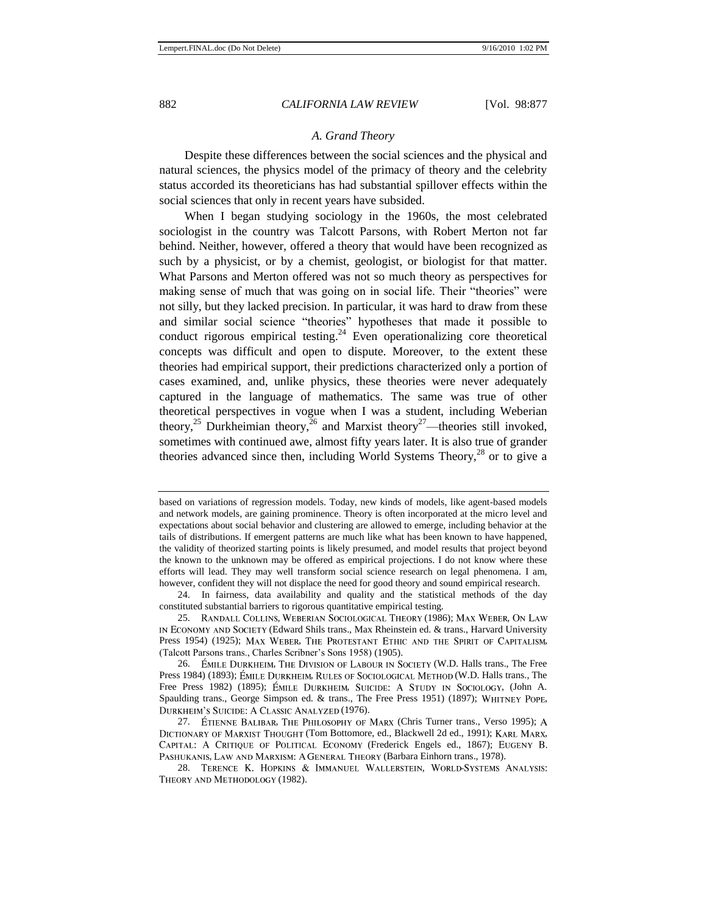#### *A. Grand Theory*

Despite these differences between the social sciences and the physical and natural sciences, the physics model of the primacy of theory and the celebrity status accorded its theoreticians has had substantial spillover effects within the social sciences that only in recent years have subsided.

When I began studying sociology in the 1960s, the most celebrated sociologist in the country was Talcott Parsons, with Robert Merton not far behind. Neither, however, offered a theory that would have been recognized as such by a physicist, or by a chemist, geologist, or biologist for that matter. What Parsons and Merton offered was not so much theory as perspectives for making sense of much that was going on in social life. Their "theories" were not silly, but they lacked precision. In particular, it was hard to draw from these and similar social science "theories" hypotheses that made it possible to conduct rigorous empirical testing.<sup>24</sup> Even operationalizing core theoretical concepts was difficult and open to dispute. Moreover, to the extent these theories had empirical support, their predictions characterized only a portion of cases examined, and, unlike physics, these theories were never adequately captured in the language of mathematics. The same was true of other theoretical perspectives in vogue when I was a student, including Weberian theory,<sup>25</sup> Durkheimian theory,<sup>26</sup> and Marxist theory<sup>27</sup>—theories still invoked, sometimes with continued awe, almost fifty years later. It is also true of grander theories advanced since then, including World Systems Theory,<sup>28</sup> or to give a

28. TERENCE K. HOPKINS & IMMANUEL WALLERSTEIN, WORLD-SYSTEMS ANALYSIS: THEORY AND METHODOLOGY (1982).

<span id="page-6-1"></span><span id="page-6-0"></span>based on variations of regression models. Today, new kinds of models, like agent-based models and network models, are gaining prominence. Theory is often incorporated at the micro level and expectations about social behavior and clustering are allowed to emerge, including behavior at the tails of distributions. If emergent patterns are much like what has been known to have happened, the validity of theorized starting points is likely presumed, and model results that project beyond the known to the unknown may be offered as empirical projections. I do not know where these efforts will lead. They may well transform social science research on legal phenomena. I am, however, confident they will not displace the need for good theory and sound empirical research.

<sup>24.</sup> In fairness, data availability and quality and the statistical methods of the day constituted substantial barriers to rigorous quantitative empirical testing.

<sup>25.</sup> RANDALL COLLINS, WEBERIAN SOCIOLOGICAL THEORY (1986); MAX WEBER, ON LAW IN ECONOMY AND SOCIETY (Edward Shils trans., Max Rheinstein ed. & trans., Harvard University Press 1954) (1925); MAX WEBER, THE PROTESTANT ETHIC AND THE SPIRIT OF CAPITALISM, (Talcott Parsons trans., Charles Scribner's Sons 1958) (1905).

<sup>26.</sup> EMILE DURKHEIM, THE DIVISION OF LABOUR IN SOCIETY (W.D. Halls trans., The Free Press 1984) (1893); ÉMILE DURKHEIM, RULES OF SOCIOLOGICAL METHOD (W.D. Halls trans., The Free Press 1982) (1895); ÉMILE DURKHEIM, SUICIDE: A STUDY IN SOCIOLOGY, (John A. Spaulding trans., George Simpson ed.  $\&$  trans., The Free Press 1951) (1897); WHITNEY POPE, DURKHEIM'S SUICIDE: A CLASSIC ANALYZED (1976).

<sup>27.</sup> ÉTIENNE BALIBAR, THE PHILOSOPHY OF MARX (Chris Turner trans., Verso 1995); A DICTIONARY OF MARXIST THOUGHT (Tom Bottomore, ed., Blackwell 2d ed., 1991); KARL MARX, CAPITAL: A CRITIQUE OF POLITICAL ECONOMY (Frederick Engels ed., 1867); EUGENY B. PASHUKANIS, LAW AND MARXISM: A GENERAL THEORY (Barbara Einhorn trans., 1978).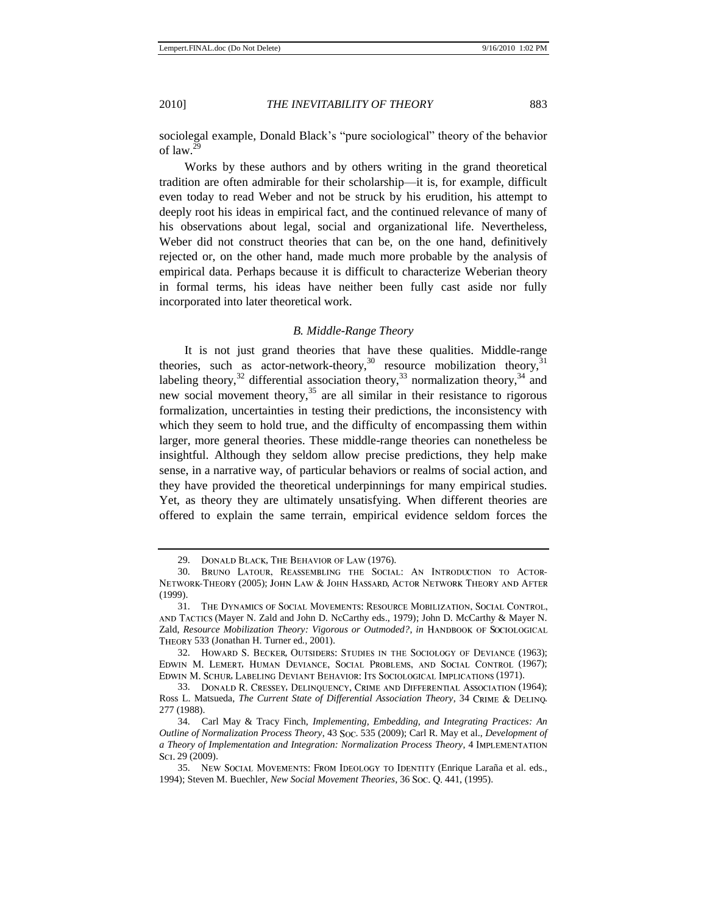sociolegal example, Donald Black's "pure sociological" theory of the behavior of law.<sup>29</sup>

Works by these authors and by others writing in the grand theoretical tradition are often admirable for their scholarship—it is, for example, difficult even today to read Weber and not be struck by his erudition, his attempt to deeply root his ideas in empirical fact, and the continued relevance of many of his observations about legal, social and organizational life. Nevertheless, Weber did not construct theories that can be, on the one hand, definitively rejected or, on the other hand, made much more probable by the analysis of empirical data. Perhaps because it is difficult to characterize Weberian theory in formal terms, his ideas have neither been fully cast aside nor fully incorporated into later theoretical work.

#### <span id="page-7-0"></span>*B. Middle-Range Theory*

It is not just grand theories that have these qualities. Middle-range theories, such as actor-network-theory,<sup>30</sup> resource mobilization theory,  $31$ labeling theory,<sup>32</sup> differential association theory,<sup>33</sup> normalization theory,<sup>34</sup> and new social movement theory,  $35$  are all similar in their resistance to rigorous formalization, uncertainties in testing their predictions, the inconsistency with which they seem to hold true, and the difficulty of encompassing them within larger, more general theories. These middle-range theories can nonetheless be insightful. Although they seldom allow precise predictions, they help make sense, in a narrative way, of particular behaviors or realms of social action, and they have provided the theoretical underpinnings for many empirical studies. Yet, as theory they are ultimately unsatisfying. When different theories are offered to explain the same terrain, empirical evidence seldom forces the

<sup>29.</sup> DONALD BLACK, THE BEHAVIOR OF LAW (1976).<br>30. BRUNO LATOUR, REASSEMBLING THE SOCIAL: AN INTRODUCTION TO ACTOR-30. NETWORK-THEORY (2005); JOHN LAW & JOHN HASSARD, ACTOR NETWORK THEORY AND AFTER (1999).

<sup>31.</sup> THE DYNAMICS OF SOCIAL MOVEMENTS: RESOURCE MOBILIZATION, SOCIAL CONTROL, (Mayer N. Zald and John D. NcCarthy eds., 1979); John D. McCarthy & Mayer N. Zald, *Resource Mobilization Theory: Vigorous or Outmoded?*, *in* 533 (Jonathan H. Turner ed., 2001).

<sup>32.</sup> HOWARD S. BECKER, OUTSIDERS: STUDIES IN THE SOCIOLOGY OF DEVIANCE (1963); EDWIN M. LEMERT, HUMAN DEVIANCE, SOCIAL PROBLEMS, AND SOCIAL CONTROL (1967); EDWIN M. SCHUR, LABELING DEVIANT BEHAVIOR: ITS SOCIOLOGICAL IMPLICATIONS (1971).

<sup>33.</sup> DONALD R. CRESSEY, DELINQUENCY, CRIME AND DIFFERENTIAL ASSOCIATION (1964); Ross L. Matsueda, *The Current State of Differential Association Theory*, 34 CRIME & DELINQ. 277 (1988).

<sup>34.</sup> Carl May & Tracy Finch, *Implementing, Embedding, and Integrating Practices: An Outline of Normalization Process Theory*, 43 Soc. 535 (2009); Carl R. May et al., *Development of a Theory of Implementation and Integration: Normalization Process Theory*, 4 Sci. 29 (2009).

<sup>35.</sup> NEW SOCIAL MOVEMENTS: FROM IDEOLOGY TO IDENTITY (Enrique Laraña et al. eds., 1994); Steven M. Buechler, *New Social Movement Theories*, 36 Soc. Q. 441, (1995).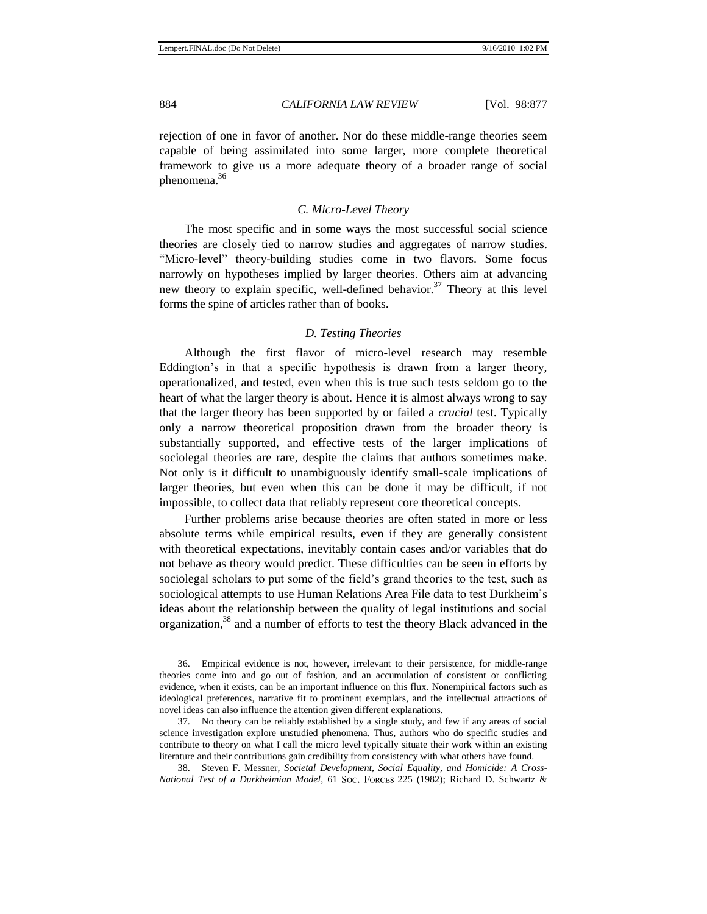rejection of one in favor of another. Nor do these middle-range theories seem capable of being assimilated into some larger, more complete theoretical framework to give us a more adequate theory of a broader range of social phenomena.<sup>36</sup>

#### *C. Micro-Level Theory*

The most specific and in some ways the most successful social science theories are closely tied to narrow studies and aggregates of narrow studies. ―Micro-level‖ theory-building studies come in two flavors. Some focus narrowly on hypotheses implied by larger theories. Others aim at advancing new theory to explain specific, well-defined behavior.<sup>37</sup> Theory at this level forms the spine of articles rather than of books.

#### *D. Testing Theories*

Although the first flavor of micro-level research may resemble Eddington's in that a specific hypothesis is drawn from a larger theory, operationalized, and tested, even when this is true such tests seldom go to the heart of what the larger theory is about. Hence it is almost always wrong to say that the larger theory has been supported by or failed a *crucial* test. Typically only a narrow theoretical proposition drawn from the broader theory is substantially supported, and effective tests of the larger implications of sociolegal theories are rare, despite the claims that authors sometimes make. Not only is it difficult to unambiguously identify small-scale implications of larger theories, but even when this can be done it may be difficult, if not impossible, to collect data that reliably represent core theoretical concepts.

Further problems arise because theories are often stated in more or less absolute terms while empirical results, even if they are generally consistent with theoretical expectations, inevitably contain cases and/or variables that do not behave as theory would predict. These difficulties can be seen in efforts by sociolegal scholars to put some of the field's grand theories to the test, such as sociological attempts to use Human Relations Area File data to test Durkheim's ideas about the relationship between the quality of legal institutions and social organization,<sup>38</sup> and a number of efforts to test the theory Black advanced in the

<sup>36.</sup> Empirical evidence is not, however, irrelevant to their persistence, for middle-range theories come into and go out of fashion, and an accumulation of consistent or conflicting evidence, when it exists, can be an important influence on this flux. Nonempirical factors such as ideological preferences, narrative fit to prominent exemplars, and the intellectual attractions of novel ideas can also influence the attention given different explanations.

<sup>37.</sup> No theory can be reliably established by a single study, and few if any areas of social science investigation explore unstudied phenomena. Thus, authors who do specific studies and contribute to theory on what I call the micro level typically situate their work within an existing literature and their contributions gain credibility from consistency with what others have found.

<sup>38.</sup> Steven F. Messner, *Societal Development, Social Equality, and Homicide: A Cross-National Test of a Durkheimian Model*, 61 Soc. Forces 225 (1982); Richard D. Schwartz &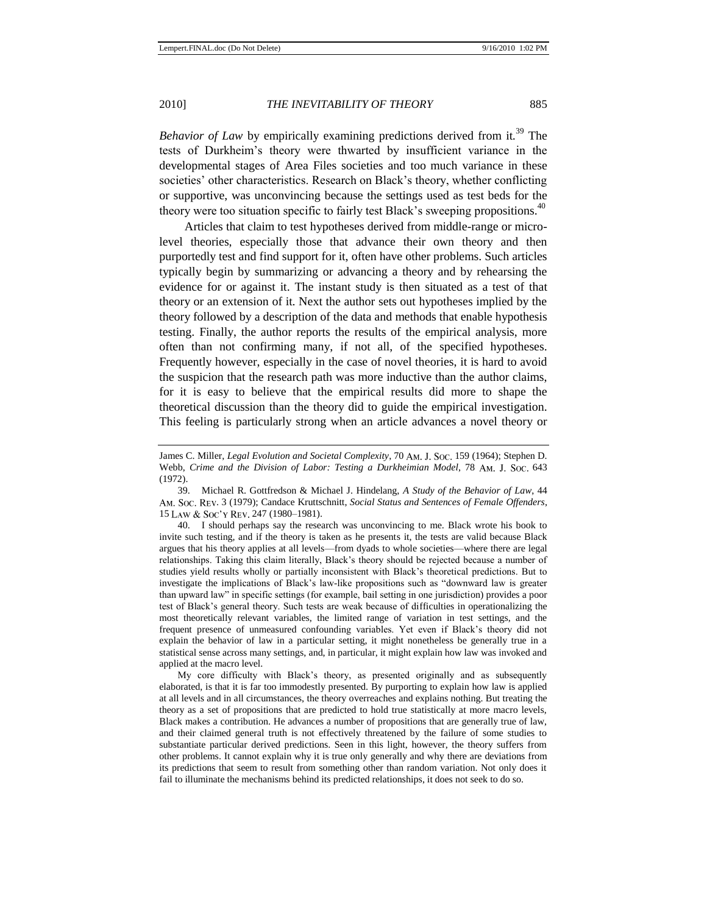*Behavior of Law* by empirically examining predictions derived from it*.* <sup>39</sup> The tests of Durkheim's theory were thwarted by insufficient variance in the developmental stages of Area Files societies and too much variance in these societies' other characteristics. Research on Black's theory, whether conflicting or supportive, was unconvincing because the settings used as test beds for the theory were too situation specific to fairly test Black's sweeping propositions.<sup>40</sup>

Articles that claim to test hypotheses derived from middle-range or microlevel theories, especially those that advance their own theory and then purportedly test and find support for it, often have other problems. Such articles typically begin by summarizing or advancing a theory and by rehearsing the evidence for or against it. The instant study is then situated as a test of that theory or an extension of it. Next the author sets out hypotheses implied by the theory followed by a description of the data and methods that enable hypothesis testing. Finally, the author reports the results of the empirical analysis, more often than not confirming many, if not all, of the specified hypotheses. Frequently however, especially in the case of novel theories, it is hard to avoid the suspicion that the research path was more inductive than the author claims, for it is easy to believe that the empirical results did more to shape the theoretical discussion than the theory did to guide the empirical investigation. This feeling is particularly strong when an article advances a novel theory or

40. I should perhaps say the research was unconvincing to me. Black wrote his book to invite such testing, and if the theory is taken as he presents it, the tests are valid because Black argues that his theory applies at all levels—from dyads to whole societies—where there are legal relationships. Taking this claim literally, Black's theory should be rejected because a number of studies yield results wholly or partially inconsistent with Black's theoretical predictions. But to investigate the implications of Black's law-like propositions such as "downward law is greater than upward law‖ in specific settings (for example, bail setting in one jurisdiction) provides a poor test of Black's general theory. Such tests are weak because of difficulties in operationalizing the most theoretically relevant variables, the limited range of variation in test settings, and the frequent presence of unmeasured confounding variables. Yet even if Black's theory did not explain the behavior of law in a particular setting, it might nonetheless be generally true in a statistical sense across many settings, and, in particular, it might explain how law was invoked and applied at the macro level.

My core difficulty with Black's theory, as presented originally and as subsequently elaborated, is that it is far too immodestly presented. By purporting to explain how law is applied at all levels and in all circumstances, the theory overreaches and explains nothing. But treating the theory as a set of propositions that are predicted to hold true statistically at more macro levels, Black makes a contribution. He advances a number of propositions that are generally true of law, and their claimed general truth is not effectively threatened by the failure of some studies to substantiate particular derived predictions. Seen in this light, however, the theory suffers from other problems. It cannot explain why it is true only generally and why there are deviations from its predictions that seem to result from something other than random variation. Not only does it fail to illuminate the mechanisms behind its predicted relationships, it does not seek to do so.

James C. Miller, *Legal Evolution and Societal Complexity*, 70 Am. J. Soc. 159 (1964); Stephen D. Webb, *Crime and the Division of Labor: Testing a Durkheimian Model*, 78 AM. J. Soc. 643 (1972).

<sup>39.</sup> Michael R. Gottfredson & Michael J. Hindelang, *A Study of the Behavior of Law*, 44 . 3 (1979); Candace Kruttschnitt, *Social Status and Sentences of Female Offenders*, 15 Law & Soc'y Rev. 247 (1980-1981).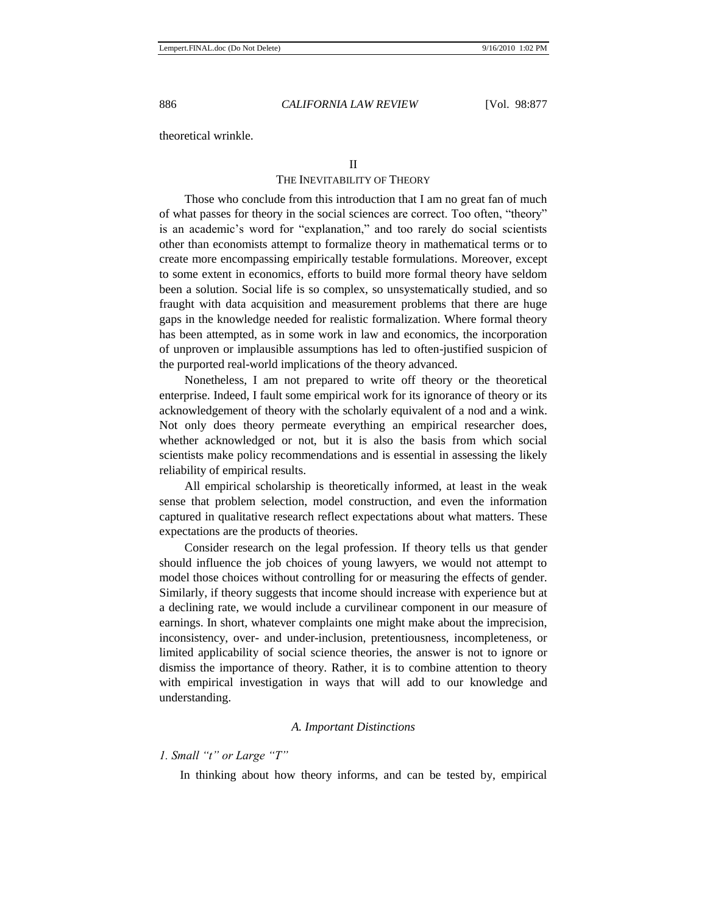theoretical wrinkle.

THE INEVITABILITY OF THEORY

Those who conclude from this introduction that I am no great fan of much of what passes for theory in the social sciences are correct. Too often, "theory" is an academic's word for "explanation," and too rarely do social scientists other than economists attempt to formalize theory in mathematical terms or to create more encompassing empirically testable formulations. Moreover, except to some extent in economics, efforts to build more formal theory have seldom been a solution. Social life is so complex, so unsystematically studied, and so fraught with data acquisition and measurement problems that there are huge gaps in the knowledge needed for realistic formalization. Where formal theory has been attempted, as in some work in law and economics, the incorporation of unproven or implausible assumptions has led to often-justified suspicion of the purported real-world implications of the theory advanced.

Nonetheless, I am not prepared to write off theory or the theoretical enterprise. Indeed, I fault some empirical work for its ignorance of theory or its acknowledgement of theory with the scholarly equivalent of a nod and a wink. Not only does theory permeate everything an empirical researcher does, whether acknowledged or not, but it is also the basis from which social scientists make policy recommendations and is essential in assessing the likely reliability of empirical results.

All empirical scholarship is theoretically informed, at least in the weak sense that problem selection, model construction, and even the information captured in qualitative research reflect expectations about what matters. These expectations are the products of theories.

Consider research on the legal profession. If theory tells us that gender should influence the job choices of young lawyers, we would not attempt to model those choices without controlling for or measuring the effects of gender. Similarly, if theory suggests that income should increase with experience but at a declining rate, we would include a curvilinear component in our measure of earnings. In short, whatever complaints one might make about the imprecision, inconsistency, over- and under-inclusion, pretentiousness, incompleteness, or limited applicability of social science theories, the answer is not to ignore or dismiss the importance of theory. Rather, it is to combine attention to theory with empirical investigation in ways that will add to our knowledge and understanding.

#### *A. Important Distinctions*

#### *1. Small "t" or Large "T"*

In thinking about how theory informs, and can be tested by, empirical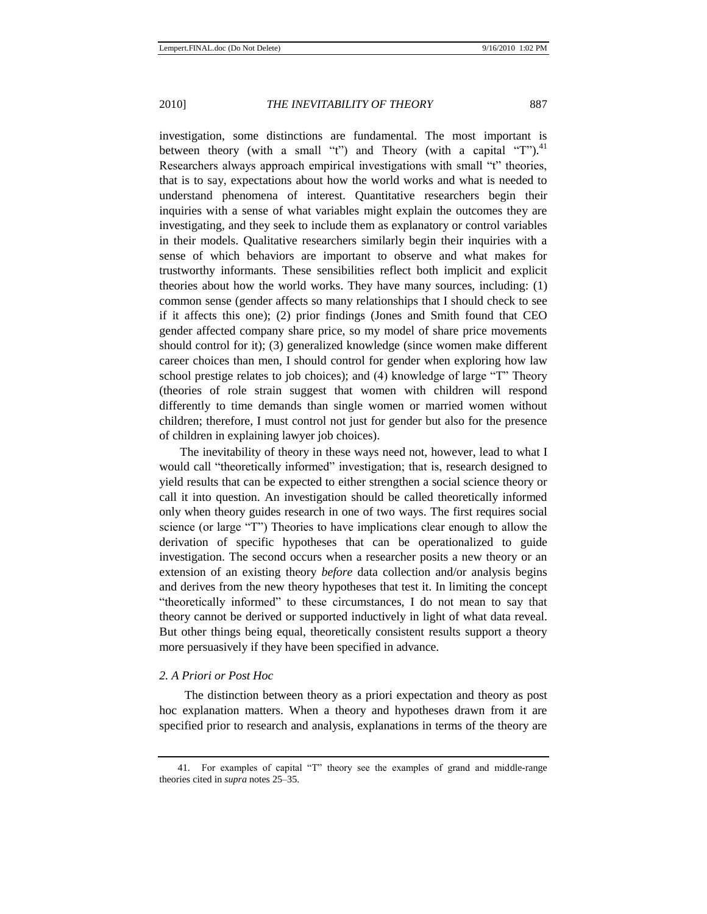investigation, some distinctions are fundamental. The most important is between theory (with a small "t") and Theory (with a capital "T").<sup>41</sup> Researchers always approach empirical investigations with small "t" theories, that is to say, expectations about how the world works and what is needed to understand phenomena of interest. Quantitative researchers begin their inquiries with a sense of what variables might explain the outcomes they are investigating, and they seek to include them as explanatory or control variables in their models. Qualitative researchers similarly begin their inquiries with a sense of which behaviors are important to observe and what makes for trustworthy informants. These sensibilities reflect both implicit and explicit theories about how the world works. They have many sources, including: (1) common sense (gender affects so many relationships that I should check to see if it affects this one); (2) prior findings (Jones and Smith found that CEO gender affected company share price, so my model of share price movements should control for it); (3) generalized knowledge (since women make different career choices than men, I should control for gender when exploring how law school prestige relates to job choices); and  $(4)$  knowledge of large "T" Theory (theories of role strain suggest that women with children will respond differently to time demands than single women or married women without children; therefore, I must control not just for gender but also for the presence of children in explaining lawyer job choices).

The inevitability of theory in these ways need not, however, lead to what I would call "theoretically informed" investigation; that is, research designed to yield results that can be expected to either strengthen a social science theory or call it into question. An investigation should be called theoretically informed only when theory guides research in one of two ways. The first requires social science (or large "T") Theories to have implications clear enough to allow the derivation of specific hypotheses that can be operationalized to guide investigation. The second occurs when a researcher posits a new theory or an extension of an existing theory *before* data collection and/or analysis begins and derives from the new theory hypotheses that test it. In limiting the concept "theoretically informed" to these circumstances, I do not mean to say that theory cannot be derived or supported inductively in light of what data reveal. But other things being equal, theoretically consistent results support a theory more persuasively if they have been specified in advance.

#### *2. A Priori or Post Hoc*

The distinction between theory as a priori expectation and theory as post hoc explanation matters. When a theory and hypotheses drawn from it are specified prior to research and analysis, explanations in terms of the theory are

<sup>41.</sup> For examples of capital "T" theory see the examples of grand and middle-range theories cited in *supra* notes [25](#page-6-0)[–35.](#page-7-0)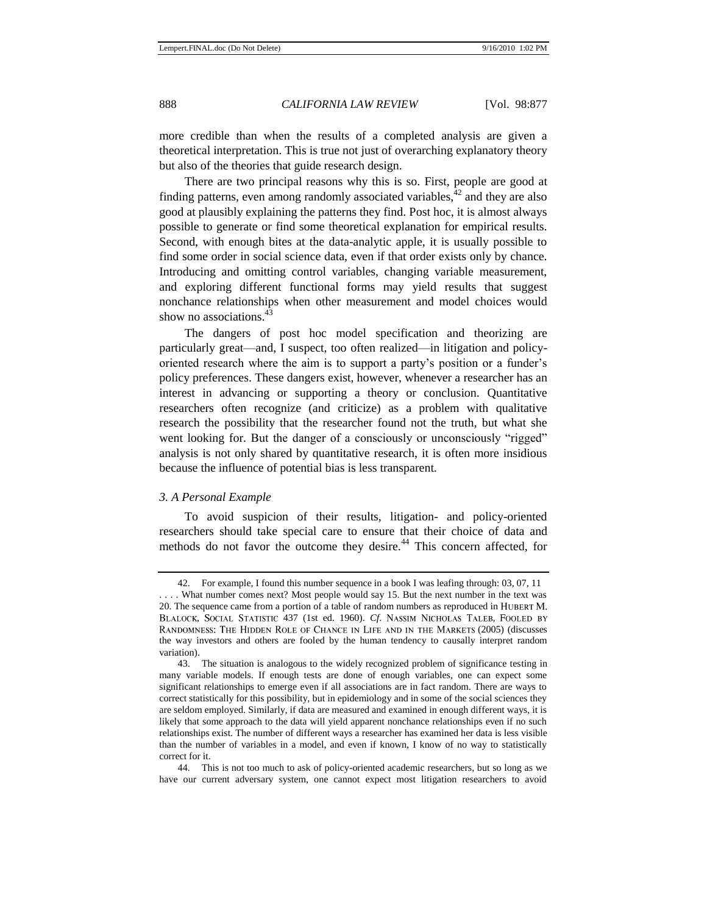more credible than when the results of a completed analysis are given a theoretical interpretation. This is true not just of overarching explanatory theory but also of the theories that guide research design.

There are two principal reasons why this is so. First, people are good at finding patterns, even among randomly associated variables,  $42$  and they are also good at plausibly explaining the patterns they find. Post hoc, it is almost always possible to generate or find some theoretical explanation for empirical results. Second, with enough bites at the data-analytic apple, it is usually possible to find some order in social science data, even if that order exists only by chance. Introducing and omitting control variables, changing variable measurement, and exploring different functional forms may yield results that suggest nonchance relationships when other measurement and model choices would show no associations. $43$ 

<span id="page-12-0"></span>The dangers of post hoc model specification and theorizing are particularly great—and, I suspect, too often realized—in litigation and policyoriented research where the aim is to support a party's position or a funder's policy preferences. These dangers exist, however, whenever a researcher has an interest in advancing or supporting a theory or conclusion. Quantitative researchers often recognize (and criticize) as a problem with qualitative research the possibility that the researcher found not the truth, but what she went looking for. But the danger of a consciously or unconsciously "rigged" analysis is not only shared by quantitative research, it is often more insidious because the influence of potential bias is less transparent.

#### *3. A Personal Example*

To avoid suspicion of their results, litigation- and policy-oriented researchers should take special care to ensure that their choice of data and methods do not favor the outcome they desire.<sup>44</sup> This concern affected, for

44. This is not too much to ask of policy-oriented academic researchers, but so long as we have our current adversary system, one cannot expect most litigation researchers to avoid

<sup>42.</sup> For example, I found this number sequence in a book I was leafing through: 03, 07, 11

<sup>. . . .</sup> What number comes next? Most people would say 15. But the next number in the text was 20. The sequence came from a portion of a table of random numbers as reproduced in BLALOCK, SOCIAL STATISTIC 437 (1st ed. 1960). *Cf.* NASSIM NICHOLAS TALEB, FOOLED BY RANDOMNESS: THE HIDDEN ROLE OF CHANCE IN LIFE AND IN THE MARKETS (2005) (discusses the way investors and others are fooled by the human tendency to causally interpret random variation).

<sup>43.</sup> The situation is analogous to the widely recognized problem of significance testing in many variable models. If enough tests are done of enough variables, one can expect some significant relationships to emerge even if all associations are in fact random. There are ways to correct statistically for this possibility, but in epidemiology and in some of the social sciences they are seldom employed. Similarly, if data are measured and examined in enough different ways, it is likely that some approach to the data will yield apparent nonchance relationships even if no such relationships exist. The number of different ways a researcher has examined her data is less visible than the number of variables in a model, and even if known, I know of no way to statistically correct for it.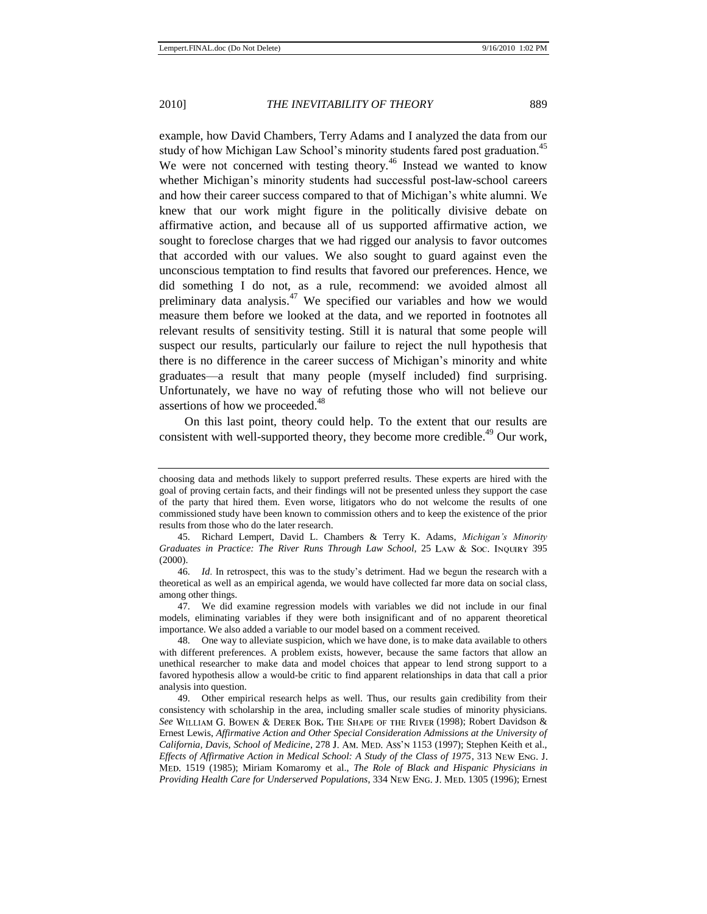<span id="page-13-0"></span>example, how David Chambers, Terry Adams and I analyzed the data from our study of how Michigan Law School's minority students fared post graduation.<sup>45</sup> We were not concerned with testing theory.<sup>46</sup> Instead we wanted to know whether Michigan's minority students had successful post-law-school careers and how their career success compared to that of Michigan's white alumni. We knew that our work might figure in the politically divisive debate on affirmative action, and because all of us supported affirmative action, we sought to foreclose charges that we had rigged our analysis to favor outcomes that accorded with our values. We also sought to guard against even the unconscious temptation to find results that favored our preferences. Hence, we did something I do not, as a rule, recommend: we avoided almost all preliminary data analysis.<sup>47</sup> We specified our variables and how we would measure them before we looked at the data, and we reported in footnotes all relevant results of sensitivity testing. Still it is natural that some people will suspect our results, particularly our failure to reject the null hypothesis that there is no difference in the career success of Michigan's minority and white graduates—a result that many people (myself included) find surprising. Unfortunately, we have no way of refuting those who will not believe our assertions of how we proceeded.<sup>48</sup>

On this last point, theory could help. To the extent that our results are consistent with well-supported theory, they become more credible.<sup>49</sup> Our work.

choosing data and methods likely to support preferred results. These experts are hired with the goal of proving certain facts, and their findings will not be presented unless they support the case of the party that hired them. Even worse, litigators who do not welcome the results of one commissioned study have been known to commission others and to keep the existence of the prior results from those who do the later research.

<sup>45.</sup> Richard Lempert, David L. Chambers & Terry K. Adams, *Michigan's Minority Graduates in Practice: The River Runs Through Law School, 25 LAW & Soc. INQUIRY 395* (2000).

<sup>46.</sup> *Id*. In retrospect, this was to the study's detriment. Had we begun the research with a theoretical as well as an empirical agenda, we would have collected far more data on social class, among other things.

<sup>47.</sup> We did examine regression models with variables we did not include in our final models, eliminating variables if they were both insignificant and of no apparent theoretical importance. We also added a variable to our model based on a comment received.

<sup>48.</sup> One way to alleviate suspicion, which we have done, is to make data available to others with different preferences. A problem exists, however, because the same factors that allow an unethical researcher to make data and model choices that appear to lend strong support to a favored hypothesis allow a would-be critic to find apparent relationships in data that call a prior analysis into question.

<sup>49.</sup> Other empirical research helps as well. Thus, our results gain credibility from their consistency with scholarship in the area, including smaller scale studies of minority physicians. See WILLIAM G. BOWEN & DEREK BOK, THE SHAPE OF THE RIVER (1998); Robert Davidson & Ernest Lewis, *Affirmative Action and Other Special Consideration Admissions at the University of California, Davis, School of Medicine*, 278 J. AM. MED. Ass'N 1153 (1997); Stephen Keith et al., *Effects of Affirmative Action in Medical School: A Study of the Class of 1975*, 313 New Eng. J. 1519 (1985); Miriam Komaromy et al., *The Role of Black and Hispanic Physicians in Providing Health Care for Underserved Populations*, 334 NEW ENG. J. MED. 1305 (1996); Ernest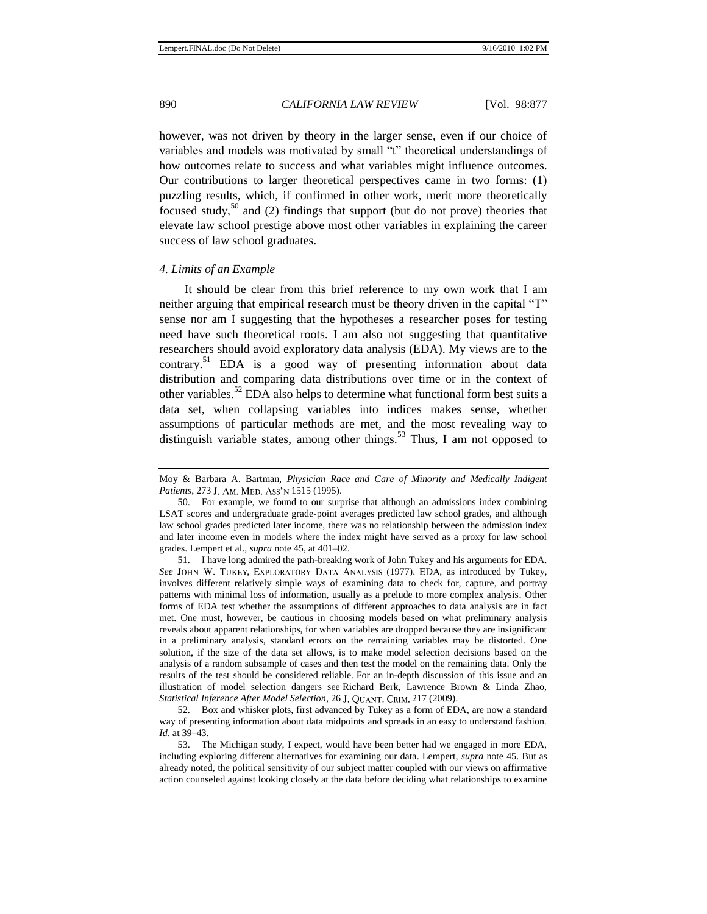however, was not driven by theory in the larger sense, even if our choice of variables and models was motivated by small "t" theoretical understandings of how outcomes relate to success and what variables might influence outcomes. Our contributions to larger theoretical perspectives came in two forms: (1) puzzling results, which, if confirmed in other work, merit more theoretically focused study,<sup>50</sup> and (2) findings that support (but do not prove) theories that elevate law school prestige above most other variables in explaining the career success of law school graduates.

#### *4. Limits of an Example*

It should be clear from this brief reference to my own work that I am neither arguing that empirical research must be theory driven in the capital "T" sense nor am I suggesting that the hypotheses a researcher poses for testing need have such theoretical roots. I am also not suggesting that quantitative researchers should avoid exploratory data analysis (EDA). My views are to the contrary.<sup>51</sup> EDA is a good way of presenting information about data distribution and comparing data distributions over time or in the context of other variables.<sup>52</sup> EDA also helps to determine what functional form best suits a data set, when collapsing variables into indices makes sense, whether assumptions of particular methods are met, and the most revealing way to distinguish variable states, among other things.<sup>53</sup> Thus, I am not opposed to

51. I have long admired the path-breaking work of John Tukey and his arguments for EDA. See JOHN W. TUKEY, EXPLORATORY DATA ANALYSIS (1977). EDA, as introduced by Tukey, involves different relatively simple ways of examining data to check for, capture, and portray patterns with minimal loss of information, usually as a prelude to more complex analysis. Other forms of EDA test whether the assumptions of different approaches to data analysis are in fact met. One must, however, be cautious in choosing models based on what preliminary analysis reveals about apparent relationships, for when variables are dropped because they are insignificant in a preliminary analysis, standard errors on the remaining variables may be distorted. One solution, if the size of the data set allows, is to make model selection decisions based on the analysis of a random subsample of cases and then test the model on the remaining data. Only the results of the test should be considered reliable. For an in-depth discussion of this issue and an illustration of model selection dangers see Richard Berk, Lawrence Brown & Linda Zhao, *Statistical Inference After Model Selection*, 26 J. QUANT. CRIM. 217 (2009).

52. Box and whisker plots, first advanced by Tukey as a form of EDA, are now a standard way of presenting information about data midpoints and spreads in an easy to understand fashion. *Id*. at 39–43.

53. The Michigan study, I expect, would have been better had we engaged in more EDA, including exploring different alternatives for examining our data. Lempert, *supra* not[e 45.](#page-13-0) But as already noted, the political sensitivity of our subject matter coupled with our views on affirmative action counseled against looking closely at the data before deciding what relationships to examine

Moy & Barbara A. Bartman, *Physician Race and Care of Minority and Medically Indigent Patients*, 273 J. AM. MED. Ass'N 1515 (1995).

<sup>50.</sup> For example, we found to our surprise that although an admissions index combining LSAT scores and undergraduate grade-point averages predicted law school grades, and although law school grades predicted later income, there was no relationship between the admission index and later income even in models where the index might have served as a proxy for law school grades. Lempert et al., *supra* not[e 45,](#page-13-0) at 401–02.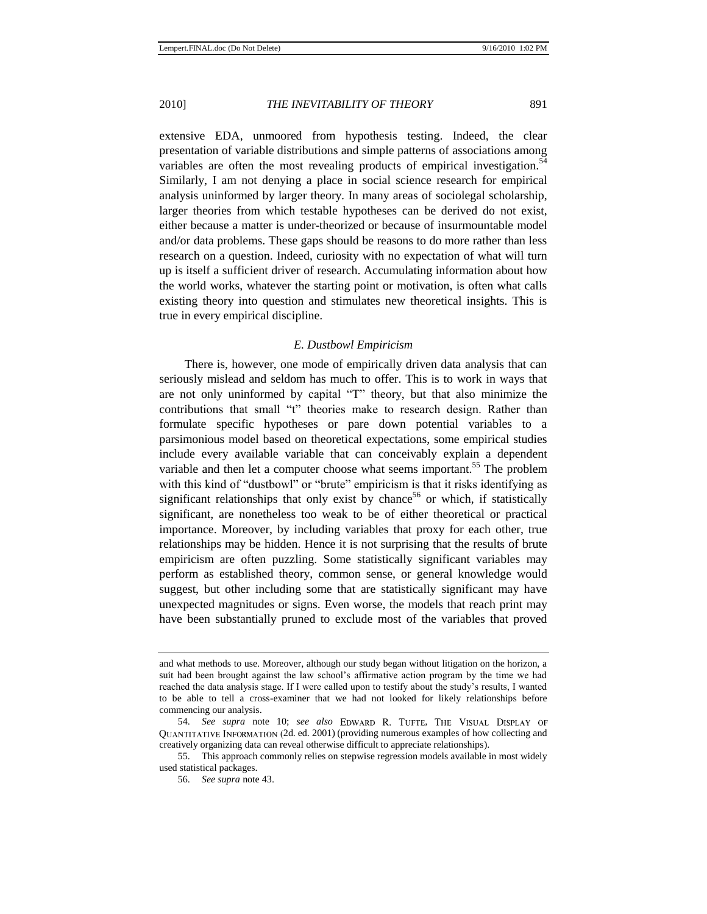extensive EDA, unmoored from hypothesis testing. Indeed, the clear presentation of variable distributions and simple patterns of associations among variables are often the most revealing products of empirical investigation.<sup>54</sup> Similarly, I am not denying a place in social science research for empirical analysis uninformed by larger theory. In many areas of sociolegal scholarship, larger theories from which testable hypotheses can be derived do not exist, either because a matter is under-theorized or because of insurmountable model and/or data problems. These gaps should be reasons to do more rather than less research on a question. Indeed, curiosity with no expectation of what will turn up is itself a sufficient driver of research. Accumulating information about how the world works, whatever the starting point or motivation, is often what calls existing theory into question and stimulates new theoretical insights. This is true in every empirical discipline.

#### *E. Dustbowl Empiricism*

There is, however, one mode of empirically driven data analysis that can seriously mislead and seldom has much to offer. This is to work in ways that are not only uninformed by capital "T" theory, but that also minimize the contributions that small "t" theories make to research design. Rather than formulate specific hypotheses or pare down potential variables to a parsimonious model based on theoretical expectations, some empirical studies include every available variable that can conceivably explain a dependent variable and then let a computer choose what seems important.<sup>55</sup> The problem with this kind of "dustbowl" or "brute" empiricism is that it risks identifying as significant relationships that only exist by chance<sup>56</sup> or which, if statistically significant, are nonetheless too weak to be of either theoretical or practical importance. Moreover, by including variables that proxy for each other, true relationships may be hidden. Hence it is not surprising that the results of brute empiricism are often puzzling. Some statistically significant variables may perform as established theory, common sense, or general knowledge would suggest, but other including some that are statistically significant may have unexpected magnitudes or signs. Even worse, the models that reach print may have been substantially pruned to exclude most of the variables that proved

and what methods to use. Moreover, although our study began without litigation on the horizon, a suit had been brought against the law school's affirmative action program by the time we had reached the data analysis stage. If I were called upon to testify about the study's results, I wanted to be able to tell a cross-examiner that we had not looked for likely relationships before commencing our analysis.

<sup>54.</sup> See supra note [10;](#page-3-0) see also EDWARD R. TUFTE, THE VISUAL DISPLAY OF 2d. ed. 2001) (providing numerous examples of how collecting and creatively organizing data can reveal otherwise difficult to appreciate relationships).

<sup>55.</sup> This approach commonly relies on stepwise regression models available in most widely used statistical packages.

<sup>56.</sup> *See supra* note [43.](#page-12-0)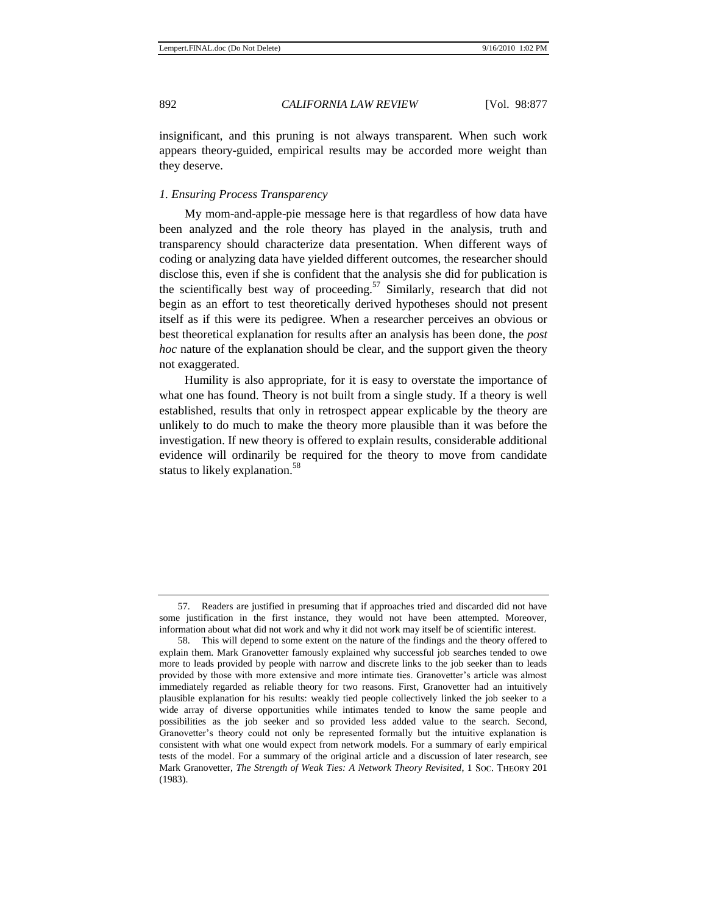insignificant, and this pruning is not always transparent. When such work appears theory-guided, empirical results may be accorded more weight than they deserve.

#### *1. Ensuring Process Transparency*

My mom-and-apple-pie message here is that regardless of how data have been analyzed and the role theory has played in the analysis, truth and transparency should characterize data presentation. When different ways of coding or analyzing data have yielded different outcomes, the researcher should disclose this, even if she is confident that the analysis she did for publication is the scientifically best way of proceeding.<sup>57</sup> Similarly, research that did not begin as an effort to test theoretically derived hypotheses should not present itself as if this were its pedigree. When a researcher perceives an obvious or best theoretical explanation for results after an analysis has been done, the *post hoc* nature of the explanation should be clear, and the support given the theory not exaggerated.

Humility is also appropriate, for it is easy to overstate the importance of what one has found. Theory is not built from a single study. If a theory is well established, results that only in retrospect appear explicable by the theory are unlikely to do much to make the theory more plausible than it was before the investigation. If new theory is offered to explain results, considerable additional evidence will ordinarily be required for the theory to move from candidate status to likely explanation.<sup>58</sup>

<sup>57.</sup> Readers are justified in presuming that if approaches tried and discarded did not have some justification in the first instance, they would not have been attempted. Moreover, information about what did not work and why it did not work may itself be of scientific interest.

<sup>58.</sup> This will depend to some extent on the nature of the findings and the theory offered to explain them. Mark Granovetter famously explained why successful job searches tended to owe more to leads provided by people with narrow and discrete links to the job seeker than to leads provided by those with more extensive and more intimate ties. Granovetter's article was almost immediately regarded as reliable theory for two reasons. First, Granovetter had an intuitively plausible explanation for his results: weakly tied people collectively linked the job seeker to a wide array of diverse opportunities while intimates tended to know the same people and possibilities as the job seeker and so provided less added value to the search. Second, Granovetter's theory could not only be represented formally but the intuitive explanation is consistent with what one would expect from network models. For a summary of early empirical tests of the model. For a summary of the original article and a discussion of later research, see Mark Granovetter, *The Strength of Weak Ties: A Network Theory Revisited*, 1 Soc. THEORY 201 (1983).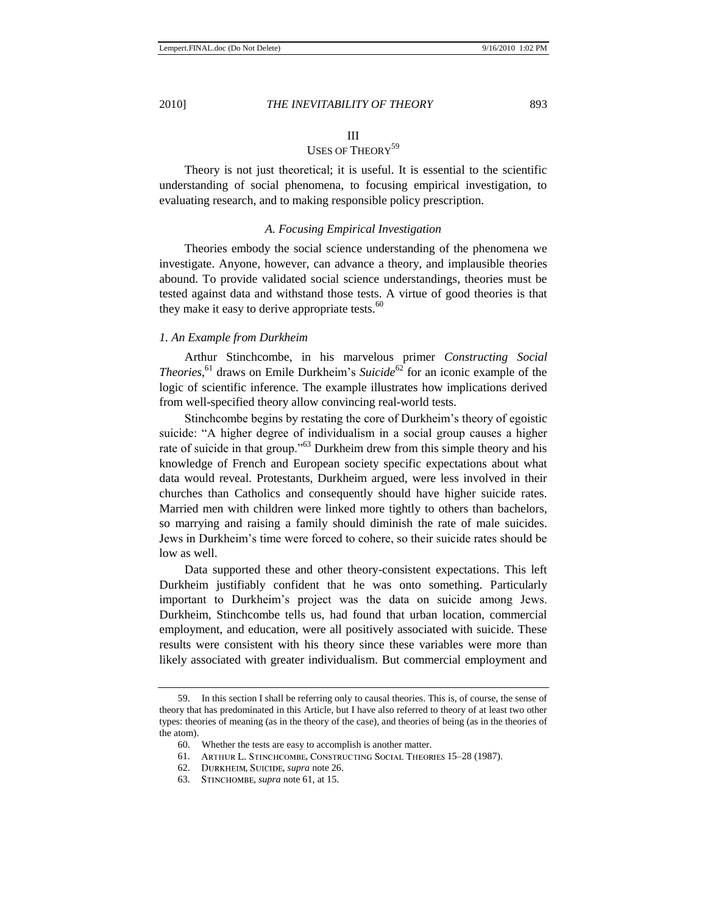#### III

## USES OF THEORY<sup>59</sup>

Theory is not just theoretical; it is useful. It is essential to the scientific understanding of social phenomena, to focusing empirical investigation, to evaluating research, and to making responsible policy prescription.

#### *A. Focusing Empirical Investigation*

Theories embody the social science understanding of the phenomena we investigate. Anyone, however, can advance a theory, and implausible theories abound. To provide validated social science understandings, theories must be tested against data and withstand those tests. A virtue of good theories is that they make it easy to derive appropriate tests. $60$ 

#### *1. An Example from Durkheim*

<span id="page-17-0"></span>Arthur Stinchcombe, in his marvelous primer *Constructing Social Theories*,<sup>61</sup> draws on Emile Durkheim's *Suicide*<sup>62</sup> for an iconic example of the logic of scientific inference. The example illustrates how implications derived from well-specified theory allow convincing real-world tests.

Stinchcombe begins by restating the core of Durkheim's theory of egoistic suicide: "A higher degree of individualism in a social group causes a higher rate of suicide in that group."<sup>63</sup> Durkheim drew from this simple theory and his knowledge of French and European society specific expectations about what data would reveal. Protestants, Durkheim argued, were less involved in their churches than Catholics and consequently should have higher suicide rates. Married men with children were linked more tightly to others than bachelors, so marrying and raising a family should diminish the rate of male suicides. Jews in Durkheim's time were forced to cohere, so their suicide rates should be low as well.

Data supported these and other theory-consistent expectations. This left Durkheim justifiably confident that he was onto something. Particularly important to Durkheim's project was the data on suicide among Jews. Durkheim, Stinchcombe tells us, had found that urban location, commercial employment, and education, were all positively associated with suicide. These results were consistent with his theory since these variables were more than likely associated with greater individualism. But commercial employment and

62. DURKHEIM, SUICIDE, *supra* not[e 26.](#page-6-1)

<sup>59.</sup> In this section I shall be referring only to causal theories. This is, of course, the sense of theory that has predominated in this Article, but I have also referred to theory of at least two other types: theories of meaning (as in the theory of the case), and theories of being (as in the theories of the atom).

<sup>60.</sup> Whether the tests are easy to accomplish is another matter.

<sup>61.</sup> ARTHUR L. STINCHCOMBE, CONSTRUCTING SOCIAL THEORIES 15-28 (1987).

<sup>63.</sup> STINCHOMBE, *supra* not[e 61,](#page-17-0) at 15.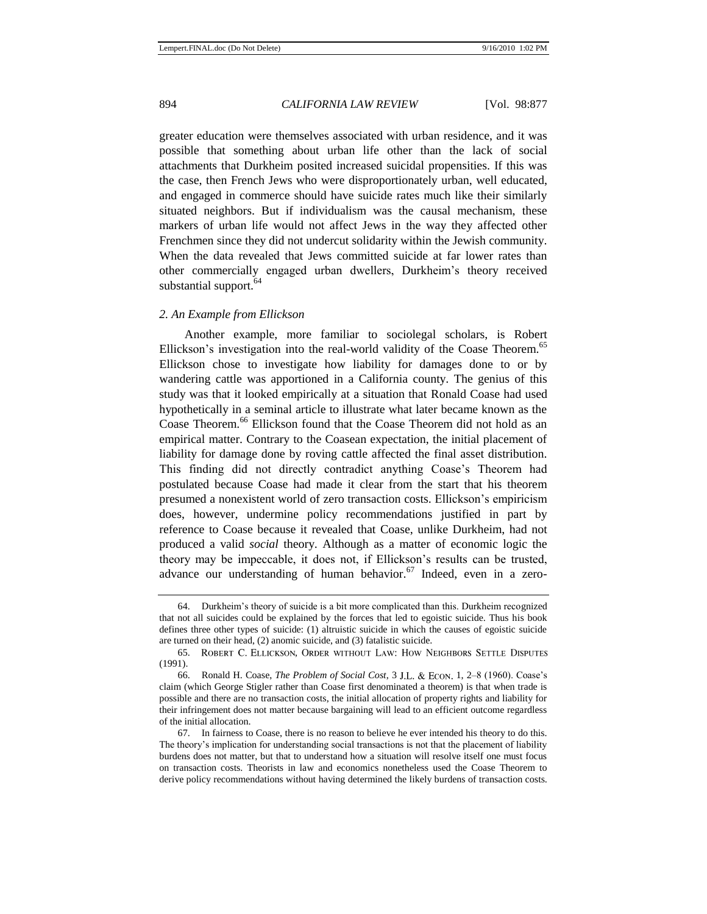greater education were themselves associated with urban residence, and it was possible that something about urban life other than the lack of social attachments that Durkheim posited increased suicidal propensities. If this was the case, then French Jews who were disproportionately urban, well educated, and engaged in commerce should have suicide rates much like their similarly situated neighbors. But if individualism was the causal mechanism, these markers of urban life would not affect Jews in the way they affected other Frenchmen since they did not undercut solidarity within the Jewish community. When the data revealed that Jews committed suicide at far lower rates than other commercially engaged urban dwellers, Durkheim's theory received substantial support.<sup>64</sup>

#### *2. An Example from Ellickson*

<span id="page-18-0"></span>Another example, more familiar to sociolegal scholars, is Robert Ellickson's investigation into the real-world validity of the Coase Theorem.<sup>65</sup> Ellickson chose to investigate how liability for damages done to or by wandering cattle was apportioned in a California county. The genius of this study was that it looked empirically at a situation that Ronald Coase had used hypothetically in a seminal article to illustrate what later became known as the Coase Theorem.<sup>66</sup> Ellickson found that the Coase Theorem did not hold as an empirical matter. Contrary to the Coasean expectation, the initial placement of liability for damage done by roving cattle affected the final asset distribution. This finding did not directly contradict anything Coase's Theorem had postulated because Coase had made it clear from the start that his theorem presumed a nonexistent world of zero transaction costs. Ellickson's empiricism does, however, undermine policy recommendations justified in part by reference to Coase because it revealed that Coase, unlike Durkheim, had not produced a valid *social* theory. Although as a matter of economic logic the theory may be impeccable, it does not, if Ellickson's results can be trusted, advance our understanding of human behavior. $67$  Indeed, even in a zero-

<sup>64.</sup> Durkheim's theory of suicide is a bit more complicated than this. Durkheim recognized that not all suicides could be explained by the forces that led to egoistic suicide. Thus his book defines three other types of suicide: (1) altruistic suicide in which the causes of egoistic suicide are turned on their head, (2) anomic suicide, and (3) fatalistic suicide.

<sup>65.</sup> ROBERT C. ELLICKSON, ORDER WITHOUT LAW: HOW NEIGHBORS SETTLE DISPUTES (1991).

<sup>66.</sup> Ronald H. Coase, *The Problem of Social Cost*, 3 1, 2–8 (1960). Coase's claim (which George Stigler rather than Coase first denominated a theorem) is that when trade is possible and there are no [transaction costs,](http://en.wikipedia.org/wiki/Transaction_costs) the initial allocation of property rights and liability for their infringement does not matter because bargaining will lead to an efficient outcome regardless of the initial allocation.

<sup>67.</sup> In fairness to Coase, there is no reason to believe he ever intended his theory to do this. The theory's implication for understanding social transactions is not that the placement of liability burdens does not matter, but that to understand how a situation will resolve itself one must focus on transaction costs. Theorists in law and economics nonetheless used the Coase Theorem to derive policy recommendations without having determined the likely burdens of transaction costs.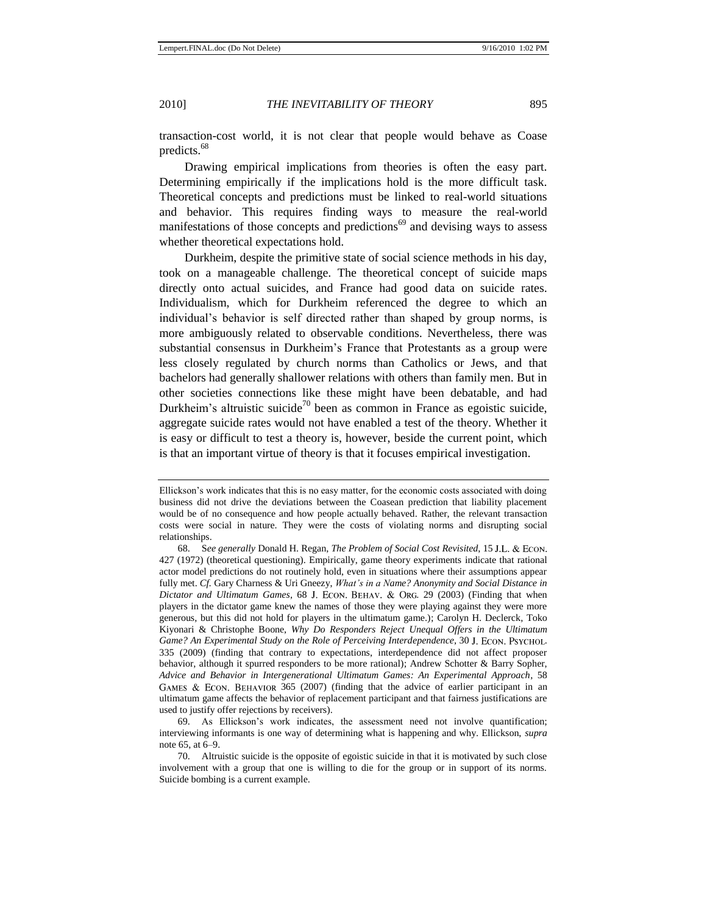transaction-cost world, it is not clear that people would behave as Coase predicts.<sup>68</sup>

Drawing empirical implications from theories is often the easy part. Determining empirically if the implications hold is the more difficult task. Theoretical concepts and predictions must be linked to real-world situations and behavior. This requires finding ways to measure the real-world manifestations of those concepts and predictions<sup>69</sup> and devising ways to assess whether theoretical expectations hold.

Durkheim, despite the primitive state of social science methods in his day, took on a manageable challenge. The theoretical concept of suicide maps directly onto actual suicides, and France had good data on suicide rates. Individualism, which for Durkheim referenced the degree to which an individual's behavior is self directed rather than shaped by group norms, is more ambiguously related to observable conditions. Nevertheless, there was substantial consensus in Durkheim's France that Protestants as a group were less closely regulated by church norms than Catholics or Jews, and that bachelors had generally shallower relations with others than family men. But in other societies connections like these might have been debatable, and had Durkheim's altruistic suicide<sup>70</sup> been as common in France as egoistic suicide, aggregate suicide rates would not have enabled a test of the theory. Whether it is easy or difficult to test a theory is, however, beside the current point, which is that an important virtue of theory is that it focuses empirical investigation.

69. As Ellickson's work indicates, the assessment need not involve quantification; interviewing informants is one way of determining what is happening and why. Ellickson, *supra* note [65,](#page-18-0) at 6–9.

Ellickson's work indicates that this is no easy matter, for the economic costs associated with doing business did not drive the deviations between the Coasean prediction that liability placement would be of no consequence and how people actually behaved. Rather, the relevant transaction costs were social in nature. They were the costs of violating norms and disrupting social relationships.

<sup>68.</sup> S*ee generally* Donald H. Regan, *The Problem of Social Cost Revisited*, 15 427 (1972) (theoretical questioning). Empirically, game theory experiments indicate that rational actor model predictions do not routinely hold, even in situations where their assumptions appear fully met. *Cf.* Gary Charness & Uri Gneezy, *What's in a Name? Anonymity and Social Distance in Dictator and Ultimatum Games*, 68 J. ECON. BEHAV. & ORG. 29 (2003) (Finding that when players in the dictator game knew the names of those they were playing against they were more generous, but this did not hold for players in the ultimatum game.); Carolyn H. Declerck, Toko Kiyonari & Christophe Boone, *Why Do Responders Reject Unequal Offers in the Ultimatum*  Game? An Experimental Study on the Role of Perceiving Interdependence, 30 J. ECON. PSYCHOL. 335 (2009) (finding that contrary to expectations, interdependence did not affect proposer behavior, although it spurred responders to be more rational); Andrew Schotter & Barry Sopher, *Advice and Behavior in Intergenerational Ultimatum Games: An Experimental Approach*, 58 GAMES & ECON. BEHAVIOR  $365$  (2007) (finding that the advice of earlier participant in an ultimatum game affects the behavior of replacement participant and that fairness justifications are used to justify offer rejections by receivers).

<sup>70.</sup> Altruistic suicide is the opposite of egoistic suicide in that it is motivated by such close involvement with a group that one is willing to die for the group or in support of its norms. Suicide bombing is a current example.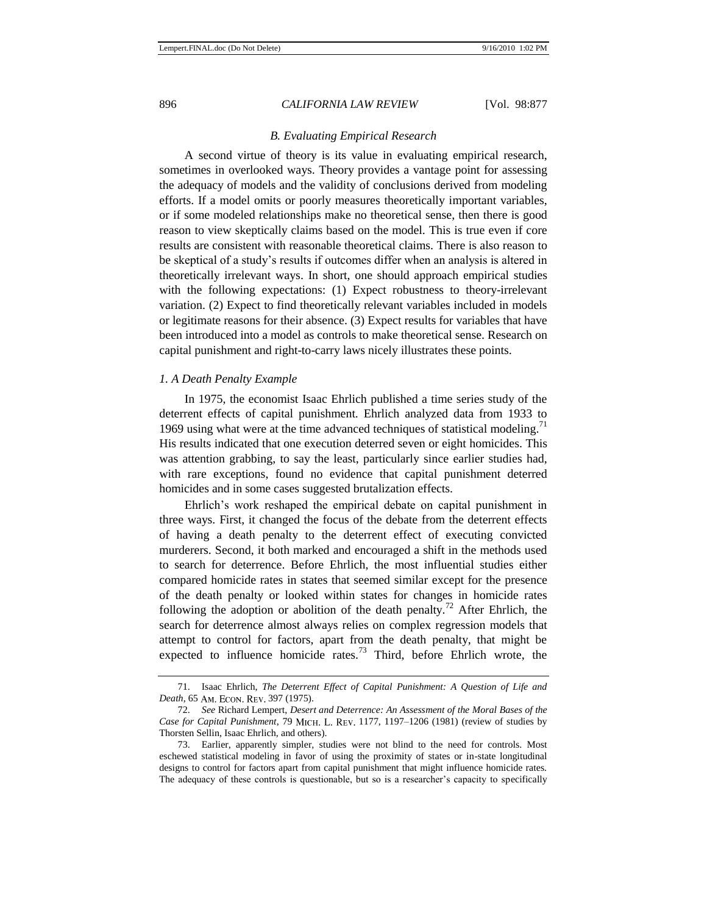#### 896 *CALIFORNIA LAW REVIEW* [Vol. 98:877

#### *B. Evaluating Empirical Research*

A second virtue of theory is its value in evaluating empirical research, sometimes in overlooked ways. Theory provides a vantage point for assessing the adequacy of models and the validity of conclusions derived from modeling efforts. If a model omits or poorly measures theoretically important variables, or if some modeled relationships make no theoretical sense, then there is good reason to view skeptically claims based on the model. This is true even if core results are consistent with reasonable theoretical claims. There is also reason to be skeptical of a study's results if outcomes differ when an analysis is altered in theoretically irrelevant ways. In short, one should approach empirical studies with the following expectations: (1) Expect robustness to theory-irrelevant variation. (2) Expect to find theoretically relevant variables included in models or legitimate reasons for their absence. (3) Expect results for variables that have been introduced into a model as controls to make theoretical sense. Research on capital punishment and right-to-carry laws nicely illustrates these points.

#### *1. A Death Penalty Example*

In 1975, the economist Isaac Ehrlich published a time series study of the deterrent effects of capital punishment. Ehrlich analyzed data from 1933 to 1969 using what were at the time advanced techniques of statistical modeling.<sup>71</sup> His results indicated that one execution deterred seven or eight homicides. This was attention grabbing, to say the least, particularly since earlier studies had, with rare exceptions, found no evidence that capital punishment deterred homicides and in some cases suggested brutalization effects.

Ehrlich's work reshaped the empirical debate on capital punishment in three ways. First, it changed the focus of the debate from the deterrent effects of having a death penalty to the deterrent effect of executing convicted murderers. Second, it both marked and encouraged a shift in the methods used to search for deterrence. Before Ehrlich, the most influential studies either compared homicide rates in states that seemed similar except for the presence of the death penalty or looked within states for changes in homicide rates following the adoption or abolition of the death penalty.<sup>72</sup> After Ehrlich, the search for deterrence almost always relies on complex regression models that attempt to control for factors, apart from the death penalty, that might be expected to influence homicide rates.<sup>73</sup> Third, before Ehrlich wrote, the

<span id="page-20-0"></span><sup>71.</sup> Isaac Ehrlich, *The Deterrent Effect of Capital Punishment: A Question of Life and Death*, 65 AM. ECON. REV. 397 (1975).

<sup>72.</sup> *See* Richard Lempert, *Desert and Deterrence: An Assessment of the Moral Bases of the*  Case for Capital Punishment, 79 MICH. L. REV. 1177, 1197-1206 (1981) (review of studies by Thorsten Sellin, Isaac Ehrlich, and others).

<sup>73.</sup> Earlier, apparently simpler, studies were not blind to the need for controls. Most eschewed statistical modeling in favor of using the proximity of states or in-state longitudinal designs to control for factors apart from capital punishment that might influence homicide rates. The adequacy of these controls is questionable, but so is a researcher's capacity to specifically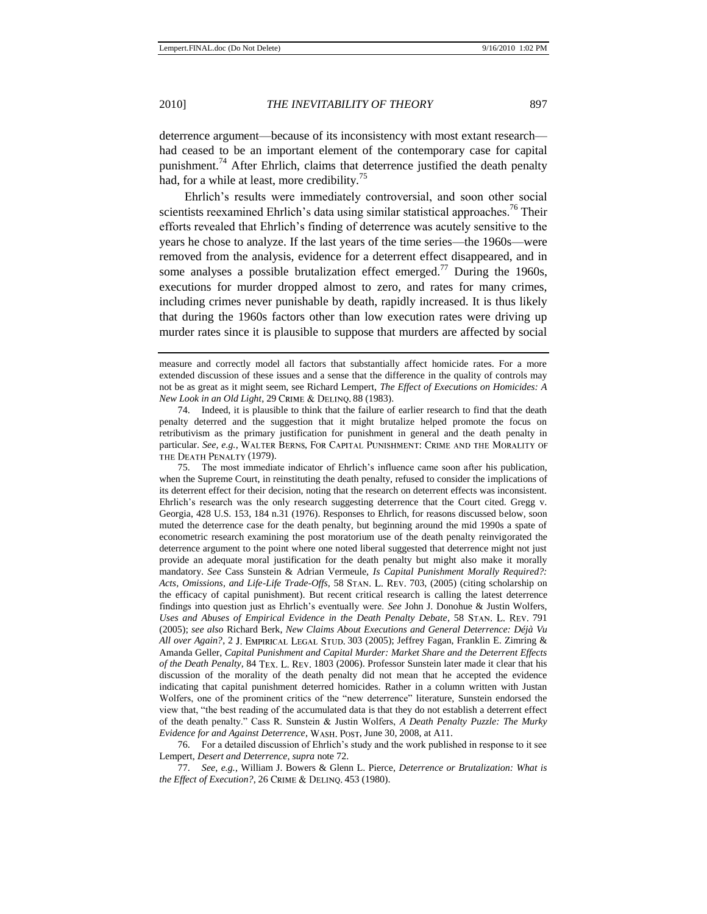deterrence argument—because of its inconsistency with most extant research had ceased to be an important element of the contemporary case for capital punishment.<sup>74</sup> After Ehrlich, claims that deterrence justified the death penalty had, for a while at least, more credibility.<sup>75</sup>

Ehrlich's results were immediately controversial, and soon other social scientists reexamined Ehrlich's data using similar statistical approaches.<sup>76</sup> Their efforts revealed that Ehrlich's finding of deterrence was acutely sensitive to the years he chose to analyze. If the last years of the time series—the 1960s—were removed from the analysis, evidence for a deterrent effect disappeared, and in some analyses a possible brutalization effect emerged.<sup>77</sup> During the 1960s, executions for murder dropped almost to zero, and rates for many crimes, including crimes never punishable by death, rapidly increased. It is thus likely that during the 1960s factors other than low execution rates were driving up murder rates since it is plausible to suppose that murders are affected by social

74. Indeed, it is plausible to think that the failure of earlier research to find that the death penalty deterred and the suggestion that it might brutalize helped promote the focus on retributivism as the primary justification for punishment in general and the death penalty in particular. See, e.g., WALTER BERNS, FOR CAPITAL PUNISHMENT: CRIME AND THE MORALITY OF THE DEATH PENALTY (1979).

75. The most immediate indicator of Ehrlich's influence came soon after his publication, when the Supreme Court, in reinstituting the death penalty, refused to consider the implications of its deterrent effect for their decision, noting that the research on deterrent effects was inconsistent. Ehrlich's research was the only research suggesting deterrence that the Court cited. Gregg v. Georgia, 428 U.S. 153, 184 n.31 (1976). Responses to Ehrlich, for reasons discussed below, soon muted the deterrence case for the death penalty, but beginning around the mid 1990s a spate of econometric research examining the post moratorium use of the death penalty reinvigorated the deterrence argument to the point where one noted liberal suggested that deterrence might not just provide an adequate moral justification for the death penalty but might also make it morally mandatory. *See* Cass Sunstein & Adrian Vermeule, *Is Capital Punishment Morally Required?:*  Acts, Omissions, and Life-Life Trade-Offs, 58 STAN. L. REV. 703, (2005) (citing scholarship on the efficacy of capital punishment). But recent critical research is calling the latest deterrence findings into question just as Ehrlich's eventually were. *See* John J. Donohue & Justin Wolfers, *[Uses and Abuses of Empirical Evidence in the Death Penalty Debate,](http://www.stanford.edu/group/lawreview/content/vol58/issue3/donohue.pdf)* 58 STAN. L. REV. 791 (2005); *see also* Richard Berk, *New Claims About Executions and General Deterrence: Déjà Vu*  All over Again?, 2 J. EMPIRICAL LEGAL STUD. 303 (2005); Jeffrey Fagan, Franklin E. Zimring & Amanda Geller, *Capital Punishment and Capital Murder: Market Share and the Deterrent Effects of the Death Penalty, 84 TEX. L. REV. 1803 (2006). Professor Sunstein later made it clear that his* discussion of the morality of the death penalty did not mean that he accepted the evidence indicating that capital punishment deterred homicides. Rather in a column written with Justan Wolfers, one of the prominent critics of the "new deterrence" literature, Sunstein endorsed the view that, "the best reading of the accumulated data is that they do not establish a deterrent effect of the death penalty.‖ Cass R. Sunstein & Justin Wolfers, *A Death Penalty Puzzle: The Murky Evidence for and Against Deterrence*, WASH. POST, June 30, 2008, at A11.

76. For a detailed discussion of Ehrlich's study and the work published in response to it see Lempert, *Desert and Deterrence*, *supra* not[e 72.](#page-20-0)

77. *See*, *e.g.,* William J. Bowers & Glenn L. Pierce, *Deterrence or Brutalization: What is the Effect of Execution?*, 26 CRIME & DELINQ. 453 (1980).

measure and correctly model all factors that substantially affect homicide rates. For a more extended discussion of these issues and a sense that the difference in the quality of controls may not be as great as it might seem, see Richard Lempert, *The Effect of Executions on Homicides: A New Look in an Old Light*, 29 CRIME & DELINQ. 88 (1983).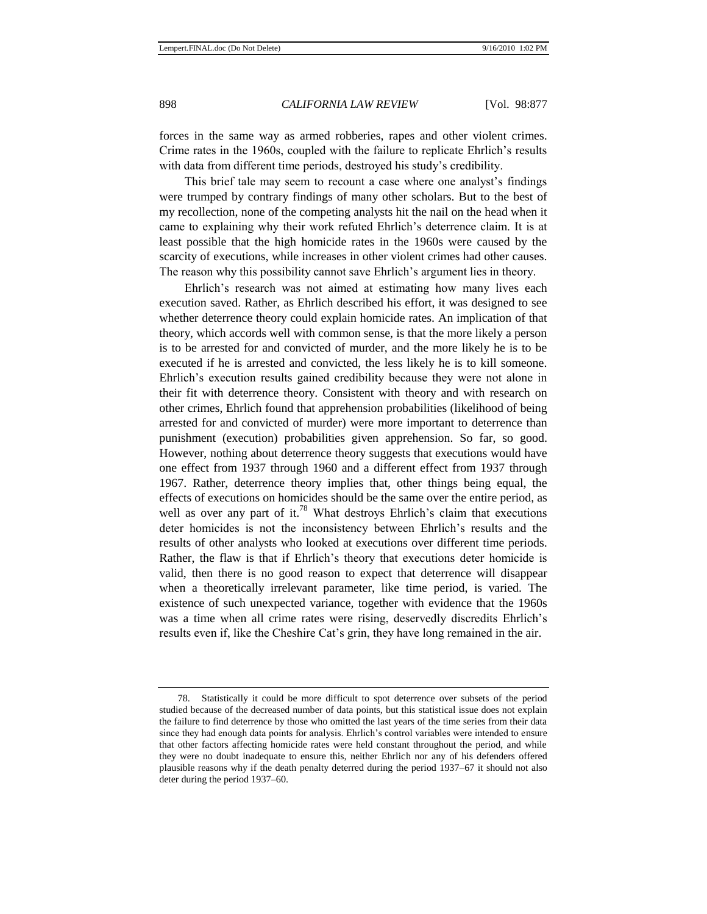forces in the same way as armed robberies, rapes and other violent crimes. Crime rates in the 1960s, coupled with the failure to replicate Ehrlich's results with data from different time periods, destroyed his study's credibility.

This brief tale may seem to recount a case where one analyst's findings were trumped by contrary findings of many other scholars. But to the best of my recollection, none of the competing analysts hit the nail on the head when it came to explaining why their work refuted Ehrlich's deterrence claim. It is at least possible that the high homicide rates in the 1960s were caused by the scarcity of executions, while increases in other violent crimes had other causes. The reason why this possibility cannot save Ehrlich's argument lies in theory.

Ehrlich's research was not aimed at estimating how many lives each execution saved. Rather, as Ehrlich described his effort, it was designed to see whether deterrence theory could explain homicide rates. An implication of that theory, which accords well with common sense, is that the more likely a person is to be arrested for and convicted of murder, and the more likely he is to be executed if he is arrested and convicted, the less likely he is to kill someone. Ehrlich's execution results gained credibility because they were not alone in their fit with deterrence theory. Consistent with theory and with research on other crimes, Ehrlich found that apprehension probabilities (likelihood of being arrested for and convicted of murder) were more important to deterrence than punishment (execution) probabilities given apprehension. So far, so good. However, nothing about deterrence theory suggests that executions would have one effect from 1937 through 1960 and a different effect from 1937 through 1967. Rather, deterrence theory implies that, other things being equal, the effects of executions on homicides should be the same over the entire period, as well as over any part of it.<sup>78</sup> What destroys Ehrlich's claim that executions deter homicides is not the inconsistency between Ehrlich's results and the results of other analysts who looked at executions over different time periods. Rather, the flaw is that if Ehrlich's theory that executions deter homicide is valid, then there is no good reason to expect that deterrence will disappear when a theoretically irrelevant parameter, like time period, is varied. The existence of such unexpected variance, together with evidence that the 1960s was a time when all crime rates were rising, deservedly discredits Ehrlich's results even if, like the Cheshire Cat's grin, they have long remained in the air.

<sup>78.</sup> Statistically it could be more difficult to spot deterrence over subsets of the period studied because of the decreased number of data points, but this statistical issue does not explain the failure to find deterrence by those who omitted the last years of the time series from their data since they had enough data points for analysis. Ehrlich's control variables were intended to ensure that other factors affecting homicide rates were held constant throughout the period, and while they were no doubt inadequate to ensure this, neither Ehrlich nor any of his defenders offered plausible reasons why if the death penalty deterred during the period 1937–67 it should not also deter during the period 1937–60.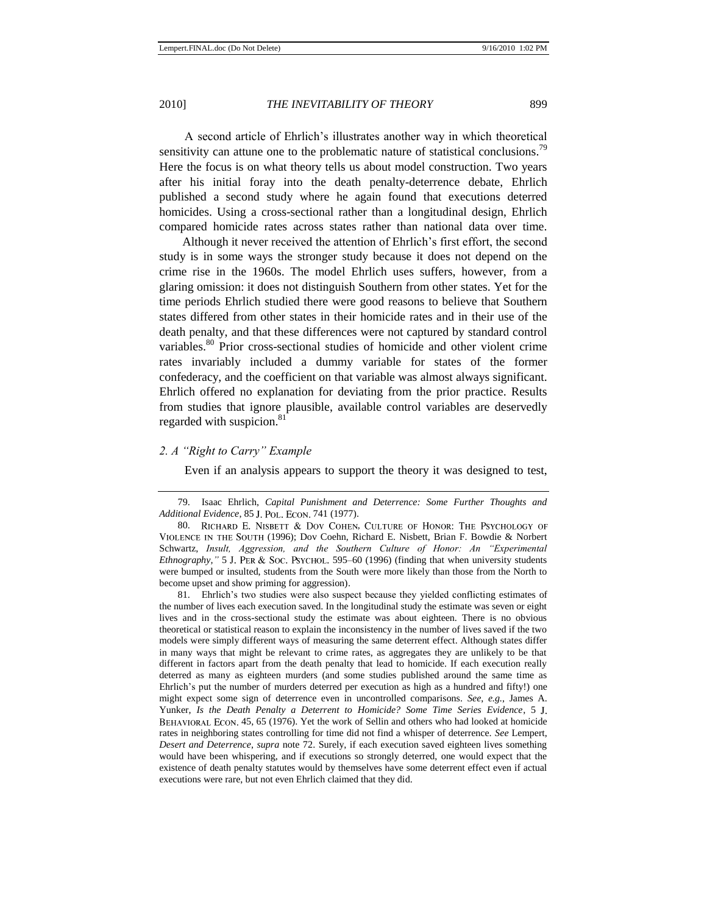A second article of Ehrlich's illustrates another way in which theoretical sensitivity can attune one to the problematic nature of statistical conclusions.<sup>79</sup> Here the focus is on what theory tells us about model construction. Two years after his initial foray into the death penalty-deterrence debate, Ehrlich published a second study where he again found that executions deterred homicides. Using a cross-sectional rather than a longitudinal design, Ehrlich compared homicide rates across states rather than national data over time.

Although it never received the attention of Ehrlich's first effort, the second study is in some ways the stronger study because it does not depend on the crime rise in the 1960s. The model Ehrlich uses suffers, however, from a glaring omission: it does not distinguish Southern from other states. Yet for the time periods Ehrlich studied there were good reasons to believe that Southern states differed from other states in their homicide rates and in their use of the death penalty, and that these differences were not captured by standard control variables.<sup>80</sup> Prior cross-sectional studies of homicide and other violent crime rates invariably included a dummy variable for states of the former confederacy, and the coefficient on that variable was almost always significant. Ehrlich offered no explanation for deviating from the prior practice. Results from studies that ignore plausible, available control variables are deservedly regarded with suspicion.<sup>81</sup>

#### *2. A "Right to Carry" Example*

Even if an analysis appears to support the theory it was designed to test,

81. Ehrlich's two studies were also suspect because they yielded conflicting estimates of the number of lives each execution saved. In the longitudinal study the estimate was seven or eight lives and in the cross-sectional study the estimate was about eighteen. There is no obvious theoretical or statistical reason to explain the inconsistency in the number of lives saved if the two models were simply different ways of measuring the same deterrent effect. Although states differ in many ways that might be relevant to crime rates, as aggregates they are unlikely to be that different in factors apart from the death penalty that lead to homicide. If each execution really deterred as many as eighteen murders (and some studies published around the same time as Ehrlich's put the number of murders deterred per execution as high as a hundred and fifty!) one might expect some sign of deterrence even in uncontrolled comparisons. *See*, *e.g.*, James A. Yunker, *Is the Death Penalty a Deterrent to Homicide? Some Time Series Evidence*, 5 BEHAVIORAL ECON. 45, 65 (1976). Yet the work of Sellin and others who had looked at homicide rates in neighboring states controlling for time did not find a whisper of deterrence. *See* Lempert, *Desert and Deterrence*, *supra* note [72.](#page-20-0) Surely, if each execution saved eighteen lives something would have been whispering, and if executions so strongly deterred, one would expect that the existence of death penalty statutes would by themselves have some deterrent effect even if actual executions were rare, but not even Ehrlich claimed that they did.

<sup>79.</sup> Isaac Ehrlich, *Capital Punishment and Deterrence: Some Further Thoughts and Additional Evidence*, 85 J. POL. ECON. 741 (1977).

<sup>80.</sup> RICHARD E. NISBETT & DOV COHEN, CULTURE OF HONOR: THE PSYCHOLOGY OF VIOLENCE IN THE SOUTH (1996); Dov Coehn, Richard E. Nisbett, Brian F. Bowdie & Norbert Schwartz, *Insult, Aggression, and the Southern Culture of Honor: An "Experimental Ethnography,"* 5 J. PER & Soc. PSYCHOL.  $595-60$  (1996) (finding that when university students were bumped or insulted, students from the South were more likely than those from the North to become upset and show priming for aggression).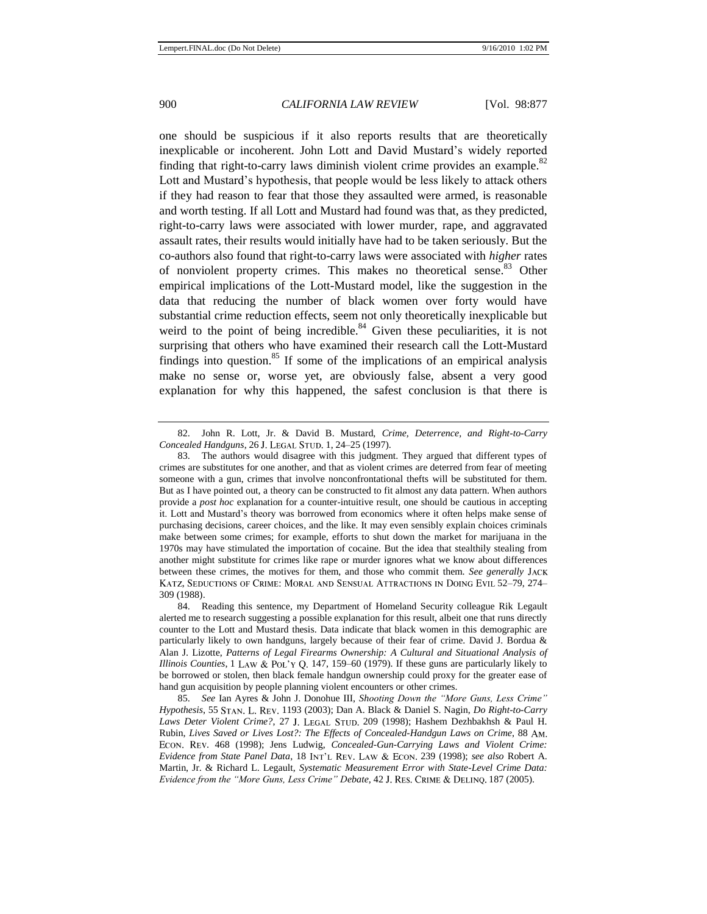one should be suspicious if it also reports results that are theoretically inexplicable or incoherent. John Lott and David Mustard's widely reported finding that right-to-carry laws diminish violent crime provides an example. $82$ Lott and Mustard's hypothesis, that people would be less likely to attack others if they had reason to fear that those they assaulted were armed, is reasonable and worth testing. If all Lott and Mustard had found was that, as they predicted, right-to-carry laws were associated with lower murder, rape, and aggravated assault rates, their results would initially have had to be taken seriously. But the co-authors also found that right-to-carry laws were associated with *higher* rates of nonviolent property crimes. This makes no theoretical sense.<sup>83</sup> Other empirical implications of the Lott-Mustard model, like the suggestion in the data that reducing the number of black women over forty would have substantial crime reduction effects, seem not only theoretically inexplicable but weird to the point of being incredible. $84$  Given these peculiarities, it is not surprising that others who have examined their research call the Lott-Mustard findings into question. $85$  If some of the implications of an empirical analysis make no sense or, worse yet, are obviously false, absent a very good explanation for why this happened, the safest conclusion is that there is

<sup>82.</sup> John R. Lott, Jr. & David B. Mustard, *Crime, Deterrence, and Right-to-Carry Concealed Handguns*, 26 1, 24–25 (1997).

<sup>83.</sup> The authors would disagree with this judgment. They argued that different types of crimes are substitutes for one another, and that as violent crimes are deterred from fear of meeting someone with a gun, crimes that involve nonconfrontational thefts will be substituted for them. But as I have pointed out, a theory can be constructed to fit almost any data pattern. When authors provide a *post hoc* explanation for a counter-intuitive result, one should be cautious in accepting it. Lott and Mustard's theory was borrowed from economics where it often helps make sense of purchasing decisions, career choices, and the like. It may even sensibly explain choices criminals make between some crimes; for example, efforts to shut down the market for marijuana in the 1970s may have stimulated the importation of cocaine. But the idea that stealthily stealing from another might substitute for crimes like rape or murder ignores what we know about differences between these crimes, the motives for them, and those who commit them. *See generally* KATZ, SEDUCTIONS OF CRIME: MORAL AND SENSUAL ATTRACTIONS IN DOING EVIL 52-79, 274-309 (1988).

<sup>84.</sup> Reading this sentence, my Department of Homeland Security colleague Rik Legault alerted me to research suggesting a possible explanation for this result, albeit one that runs directly counter to the Lott and Mustard thesis. Data indicate that black women in this demographic are particularly likely to own handguns, largely because of their fear of crime. David J. Bordua & Alan J. Lizotte, *Patterns of Legal Firearms Ownership: A Cultural and Situational Analysis of Illinois Counties*,  $1$  LAW & POL'Y Q. 147, 159–60 (1979). If these guns are particularly likely to be borrowed or stolen, then black female handgun ownership could proxy for the greater ease of hand gun acquisition by people planning violent encounters or other crimes.

<sup>85.</sup> *See* Ian Ayres & John J. Donohue III, *Shooting Down the "More Guns, Less Crime" Hypothesis*, 55 1193 (2003); Dan A. Black & Daniel S. Nagin, *Do Right-to-Carry*  Laws Deter Violent Crime?, 27 J. LEGAL STUD. 209 (1998); Hashem Dezhbakhsh & Paul H. Rubin, *Lives Saved or Lives Lost?: The Effects of Concealed-Handgun Laws on Crime*, 88 . 468 (1998); Jens Ludwig, *Concealed-Gun-Carrying Laws and Violent Crime: Evidence from State Panel Data*, 18 INT'L REV. LAW & ECON. 239 (1998); *see also* Robert A. Martin, Jr. & Richard L. Legault, *Systematic Measurement Error with State-Level Crime Data: Evidence from the "More Guns, Less Crime" Debate,* 42 J. RES. CRIME & DELINQ. 187 (2005).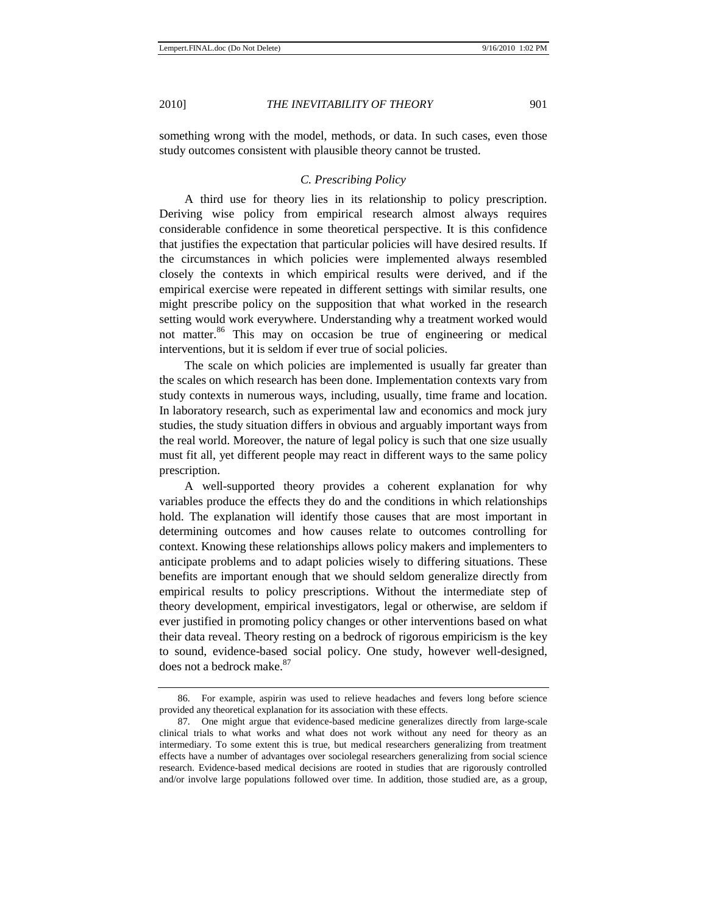something wrong with the model, methods, or data. In such cases, even those study outcomes consistent with plausible theory cannot be trusted.

#### *C. Prescribing Policy*

A third use for theory lies in its relationship to policy prescription. Deriving wise policy from empirical research almost always requires considerable confidence in some theoretical perspective. It is this confidence that justifies the expectation that particular policies will have desired results. If the circumstances in which policies were implemented always resembled closely the contexts in which empirical results were derived, and if the empirical exercise were repeated in different settings with similar results, one might prescribe policy on the supposition that what worked in the research setting would work everywhere. Understanding why a treatment worked would not matter.<sup>86</sup> This may on occasion be true of engineering or medical interventions, but it is seldom if ever true of social policies.

The scale on which policies are implemented is usually far greater than the scales on which research has been done. Implementation contexts vary from study contexts in numerous ways, including, usually, time frame and location. In laboratory research, such as experimental law and economics and mock jury studies, the study situation differs in obvious and arguably important ways from the real world. Moreover, the nature of legal policy is such that one size usually must fit all, yet different people may react in different ways to the same policy prescription.

A well-supported theory provides a coherent explanation for why variables produce the effects they do and the conditions in which relationships hold. The explanation will identify those causes that are most important in determining outcomes and how causes relate to outcomes controlling for context. Knowing these relationships allows policy makers and implementers to anticipate problems and to adapt policies wisely to differing situations. These benefits are important enough that we should seldom generalize directly from empirical results to policy prescriptions. Without the intermediate step of theory development, empirical investigators, legal or otherwise, are seldom if ever justified in promoting policy changes or other interventions based on what their data reveal. Theory resting on a bedrock of rigorous empiricism is the key to sound, evidence-based social policy. One study, however well-designed, does not a bedrock make.<sup>87</sup>

<sup>86.</sup> For example, aspirin was used to relieve headaches and fevers long before science provided any theoretical explanation for its association with these effects.

<sup>87.</sup> One might argue that evidence-based medicine generalizes directly from large-scale clinical trials to what works and what does not work without any need for theory as an intermediary. To some extent this is true, but medical researchers generalizing from treatment effects have a number of advantages over sociolegal researchers generalizing from social science research. Evidence-based medical decisions are rooted in studies that are rigorously controlled and/or involve large populations followed over time. In addition, those studied are, as a group,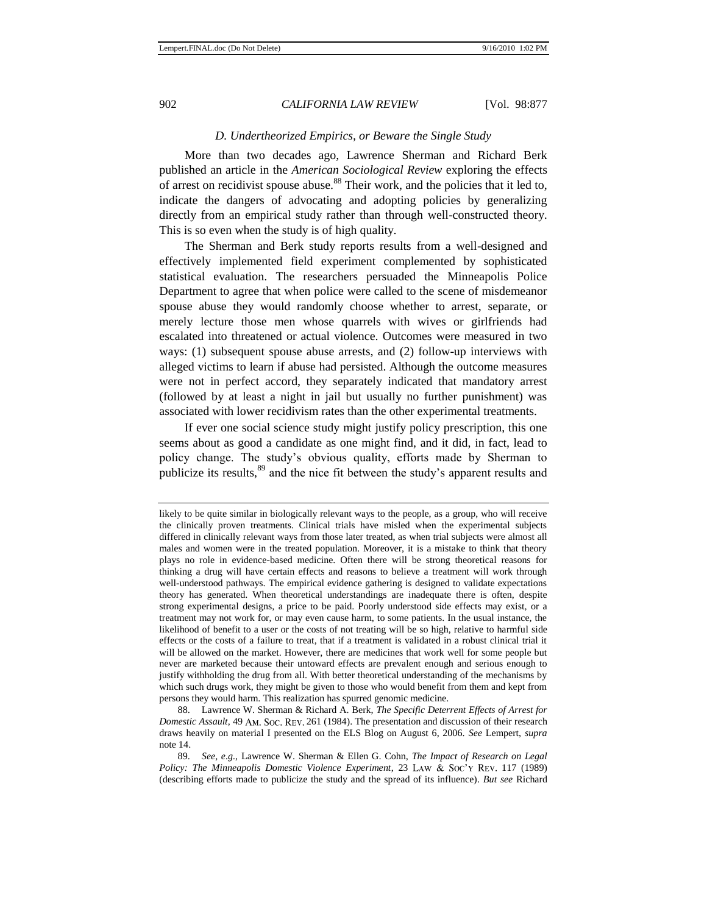#### <span id="page-26-0"></span>*D. Undertheorized Empirics, or Beware the Single Study*

More than two decades ago, Lawrence Sherman and Richard Berk published an article in the *American Sociological Review* exploring the effects of arrest on recidivist spouse abuse.<sup>88</sup> Their work, and the policies that it led to, indicate the dangers of advocating and adopting policies by generalizing directly from an empirical study rather than through well-constructed theory. This is so even when the study is of high quality.

The Sherman and Berk study reports results from a well-designed and effectively implemented field experiment complemented by sophisticated statistical evaluation. The researchers persuaded the Minneapolis Police Department to agree that when police were called to the scene of misdemeanor spouse abuse they would randomly choose whether to arrest, separate, or merely lecture those men whose quarrels with wives or girlfriends had escalated into threatened or actual violence. Outcomes were measured in two ways: (1) subsequent spouse abuse arrests, and (2) follow-up interviews with alleged victims to learn if abuse had persisted. Although the outcome measures were not in perfect accord, they separately indicated that mandatory arrest (followed by at least a night in jail but usually no further punishment) was associated with lower recidivism rates than the other experimental treatments.

If ever one social science study might justify policy prescription, this one seems about as good a candidate as one might find, and it did, in fact, lead to policy change. The study's obvious quality, efforts made by Sherman to publicize its results,<sup>89</sup> and the nice fit between the study's apparent results and

likely to be quite similar in biologically relevant ways to the people, as a group, who will receive the clinically proven treatments. Clinical trials have misled when the experimental subjects differed in clinically relevant ways from those later treated, as when trial subjects were almost all males and women were in the treated population. Moreover, it is a mistake to think that theory plays no role in evidence-based medicine. Often there will be strong theoretical reasons for thinking a drug will have certain effects and reasons to believe a treatment will work through well-understood pathways. The empirical evidence gathering is designed to validate expectations theory has generated. When theoretical understandings are inadequate there is often, despite strong experimental designs, a price to be paid. Poorly understood side effects may exist, or a treatment may not work for, or may even cause harm, to some patients. In the usual instance, the likelihood of benefit to a user or the costs of not treating will be so high, relative to harmful side effects or the costs of a failure to treat, that if a treatment is validated in a robust clinical trial it will be allowed on the market. However, there are medicines that work well for some people but never are marketed because their untoward effects are prevalent enough and serious enough to justify withholding the drug from all. With better theoretical understanding of the mechanisms by which such drugs work, they might be given to those who would benefit from them and kept from persons they would harm. This realization has spurred genomic medicine.

<sup>88.</sup> Lawrence W. Sherman & Richard A. Berk, *The Specific Deterrent Effects of Arrest for Domestic Assault*, 49 AM. Soc. REV. 261 (1984). The presentation and discussion of their research draws heavily on material I presented on the ELS Blog on August 6, 2006. *See* Lempert, *supra* note [14.](#page-4-0)

<sup>89.</sup> *See, e.g.*, Lawrence W. Sherman & Ellen G. Cohn, *The Impact of Research on Legal Policy: The Minneapolis Domestic Violence Experiment*, 23 LAW & Soc'y REV. 117 (1989) (describing efforts made to publicize the study and the spread of its influence). *But see* Richard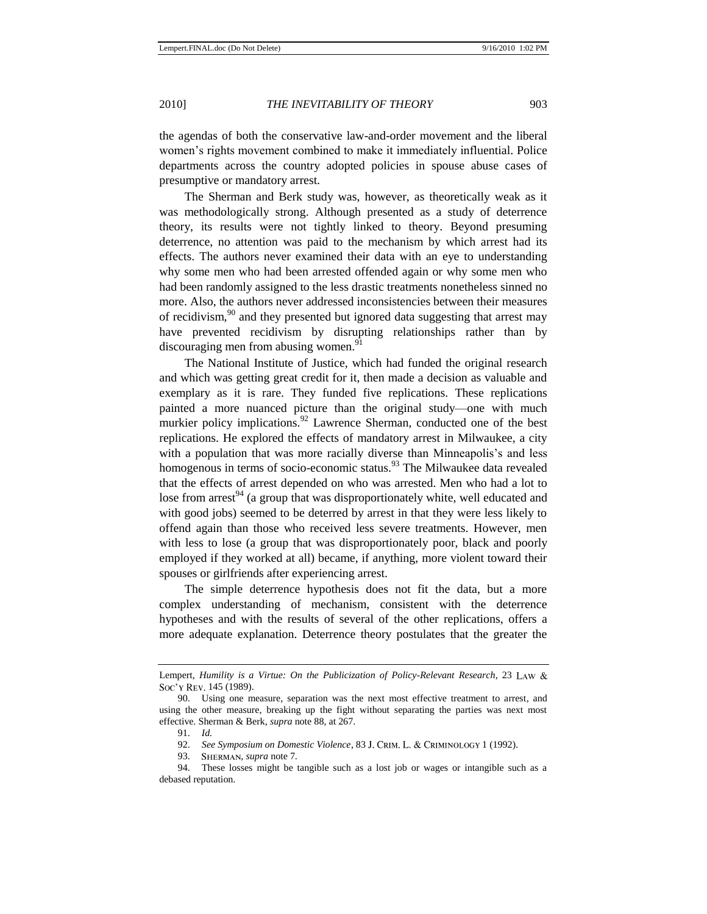the agendas of both the conservative law-and-order movement and the liberal women's rights movement combined to make it immediately influential. Police departments across the country adopted policies in spouse abuse cases of presumptive or mandatory arrest.

The Sherman and Berk study was, however, as theoretically weak as it was methodologically strong. Although presented as a study of deterrence theory, its results were not tightly linked to theory. Beyond presuming deterrence, no attention was paid to the mechanism by which arrest had its effects. The authors never examined their data with an eye to understanding why some men who had been arrested offended again or why some men who had been randomly assigned to the less drastic treatments nonetheless sinned no more. Also, the authors never addressed inconsistencies between their measures of recidivism,  $90^{\circ}$  and they presented but ignored data suggesting that arrest may have prevented recidivism by disrupting relationships rather than by discouraging men from abusing women. $91$ 

The National Institute of Justice, which had funded the original research and which was getting great credit for it, then made a decision as valuable and exemplary as it is rare. They funded five replications. These replications painted a more nuanced picture than the original study—one with much murkier policy implications.<sup>92</sup> Lawrence Sherman, conducted one of the best replications. He explored the effects of mandatory arrest in Milwaukee, a city with a population that was more racially diverse than Minneapolis's and less homogenous in terms of socio-economic status.<sup>93</sup> The Milwaukee data revealed that the effects of arrest depended on who was arrested. Men who had a lot to lose from arrest<sup>94</sup> (a group that was disproportionately white, well educated and with good jobs) seemed to be deterred by arrest in that they were less likely to offend again than those who received less severe treatments. However, men with less to lose (a group that was disproportionately poor, black and poorly employed if they worked at all) became, if anything, more violent toward their spouses or girlfriends after experiencing arrest.

The simple deterrence hypothesis does not fit the data, but a more complex understanding of mechanism, consistent with the deterrence hypotheses and with the results of several of the other replications, offers a more adequate explanation. Deterrence theory postulates that the greater the

Lempert, *Humility is a Virtue: On the Publicization of Policy-Relevant Research*, 23 Soc'y Rev. 145 (1989).

<sup>90.</sup> Using one measure, separation was the next most effective treatment to arrest, and using the other measure, breaking up the fight without separating the parties was next most effective. Sherman & Berk, *supra* note [88,](#page-26-0) at 267.

<sup>91.</sup> *Id.*

<sup>92.</sup> *See Symposium on Domestic Violence*, 83 J. CRIM. L. & CRIMINOLOGY 1 (1992).

<sup>93.</sup> SHERMAN, *supra* note 7.

<sup>94.</sup> These losses might be tangible such as a lost job or wages or intangible such as a debased reputation.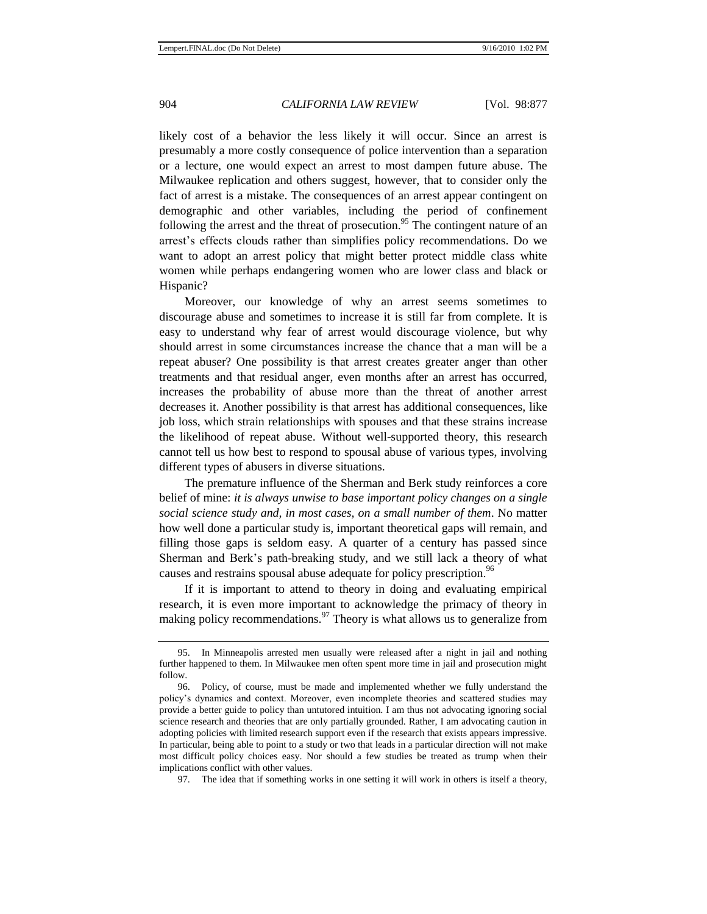likely cost of a behavior the less likely it will occur. Since an arrest is presumably a more costly consequence of police intervention than a separation or a lecture, one would expect an arrest to most dampen future abuse. The Milwaukee replication and others suggest, however, that to consider only the fact of arrest is a mistake. The consequences of an arrest appear contingent on demographic and other variables, including the period of confinement following the arrest and the threat of prosecution.<sup>95</sup> The contingent nature of an arrest's effects clouds rather than simplifies policy recommendations. Do we want to adopt an arrest policy that might better protect middle class white women while perhaps endangering women who are lower class and black or Hispanic?

Moreover, our knowledge of why an arrest seems sometimes to discourage abuse and sometimes to increase it is still far from complete. It is easy to understand why fear of arrest would discourage violence, but why should arrest in some circumstances increase the chance that a man will be a repeat abuser? One possibility is that arrest creates greater anger than other treatments and that residual anger, even months after an arrest has occurred, increases the probability of abuse more than the threat of another arrest decreases it. Another possibility is that arrest has additional consequences, like job loss, which strain relationships with spouses and that these strains increase the likelihood of repeat abuse. Without well-supported theory, this research cannot tell us how best to respond to spousal abuse of various types, involving different types of abusers in diverse situations.

The premature influence of the Sherman and Berk study reinforces a core belief of mine: *it is always unwise to base important policy changes on a single social science study and, in most cases, on a small number of them*. No matter how well done a particular study is, important theoretical gaps will remain, and filling those gaps is seldom easy. A quarter of a century has passed since Sherman and Berk's path-breaking study, and we still lack a theory of what causes and restrains spousal abuse adequate for policy prescription.<sup>96</sup>

If it is important to attend to theory in doing and evaluating empirical research, it is even more important to acknowledge the primacy of theory in making policy recommendations.  $97$  Theory is what allows us to generalize from

97. The idea that if something works in one setting it will work in others is itself a theory,

<sup>95.</sup> In Minneapolis arrested men usually were released after a night in jail and nothing further happened to them. In Milwaukee men often spent more time in jail and prosecution might follow.

<sup>96.</sup> Policy, of course, must be made and implemented whether we fully understand the policy's dynamics and context. Moreover, even incomplete theories and scattered studies may provide a better guide to policy than untutored intuition. I am thus not advocating ignoring social science research and theories that are only partially grounded. Rather, I am advocating caution in adopting policies with limited research support even if the research that exists appears impressive. In particular, being able to point to a study or two that leads in a particular direction will not make most difficult policy choices easy. Nor should a few studies be treated as trump when their implications conflict with other values.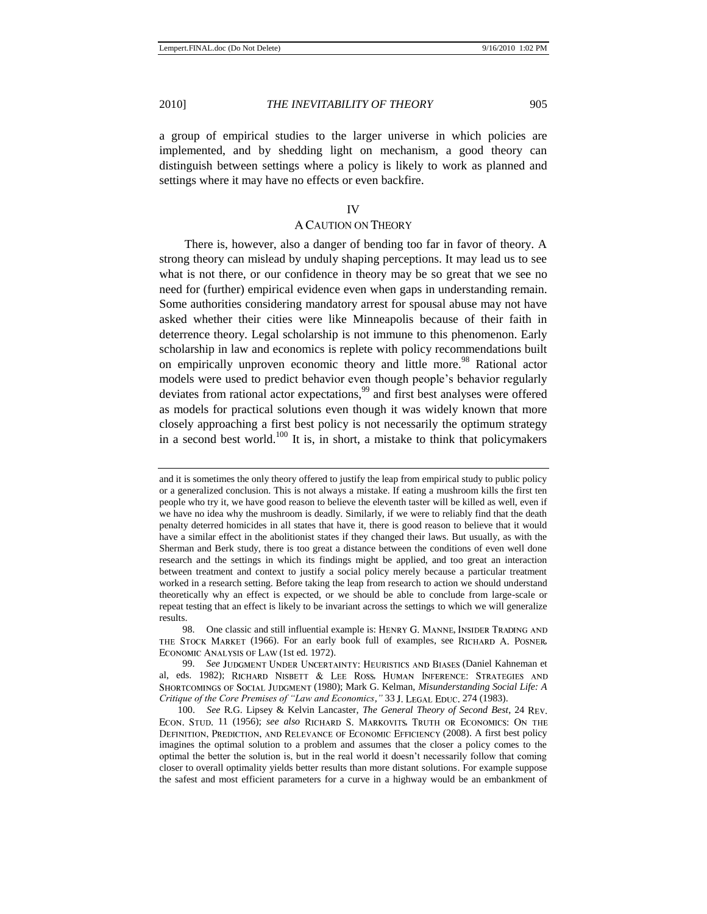a group of empirical studies to the larger universe in which policies are implemented, and by shedding light on mechanism, a good theory can distinguish between settings where a policy is likely to work as planned and settings where it may have no effects or even backfire.

#### IV

#### A CAUTION ON THEORY

There is, however, also a danger of bending too far in favor of theory. A strong theory can mislead by unduly shaping perceptions. It may lead us to see what is not there, or our confidence in theory may be so great that we see no need for (further) empirical evidence even when gaps in understanding remain. Some authorities considering mandatory arrest for spousal abuse may not have asked whether their cities were like Minneapolis because of their faith in deterrence theory. Legal scholarship is not immune to this phenomenon. Early scholarship in law and economics is replete with policy recommendations built on empirically unproven economic theory and little more.<sup>98</sup> Rational actor models were used to predict behavior even though people's behavior regularly deviates from rational actor expectations,<sup>99</sup> and first best analyses were offered as models for practical solutions even though it was widely known that more closely approaching a first best policy is not necessarily the optimum strategy in a second best world.<sup>100</sup> It is, in short, a mistake to think that policymakers

and it is sometimes the only theory offered to justify the leap from empirical study to public policy or a generalized conclusion. This is not always a mistake. If eating a mushroom kills the first ten people who try it, we have good reason to believe the eleventh taster will be killed as well, even if we have no idea why the mushroom is deadly. Similarly, if we were to reliably find that the death penalty deterred homicides in all states that have it, there is good reason to believe that it would have a similar effect in the abolitionist states if they changed their laws. But usually, as with the Sherman and Berk study, there is too great a distance between the conditions of even well done research and the settings in which its findings might be applied, and too great an interaction between treatment and context to justify a social policy merely because a particular treatment worked in a research setting. Before taking the leap from research to action we should understand theoretically why an effect is expected, or we should be able to conclude from large-scale or repeat testing that an effect is likely to be invariant across the settings to which we will generalize results.

<sup>98.</sup> One classic and still influential example is: HENRY G. MANNE, INSIDER TRADING AND THE STOCK MARKET (1966). For an early book full of examples, see RICHARD A. POSNER, ECONOMIC ANALYSIS OF LAW (1st ed. 1972).

<sup>99.</sup> See JUDGMENT UNDER UNCERTAINTY: HEURISTICS AND BIASES (Daniel Kahneman et al, eds. 1982); RICHARD NISBETT & LEE ROSS, HUMAN INFERENCE: STRATEGIES AND (1980); Mark G. Kelman, *Misunderstanding Social Life: A Critique of the Core Premises of "Law and Economics,"* 33 J. LEGAL EDUC. 274 (1983).

<sup>100.</sup> *See* R.G. Lipsey & Kelvin Lancaster, *The General Theory of Second Best*, 24 ECON. STUD. 11 (1956); see also RICHARD S. MARKOVITS, TRUTH OR ECONOMICS: ON THE DEFINITION, PREDICTION, AND RELEVANCE OF ECONOMIC EFFICIENCY (2008). A first best policy imagines the optimal solution to a problem and assumes that the closer a policy comes to the optimal the better the solution is, but in the real world it doesn't necessarily follow that coming closer to overall optimality yields better results than more distant solutions. For example suppose the safest and most efficient parameters for a curve in a highway would be an embankment of